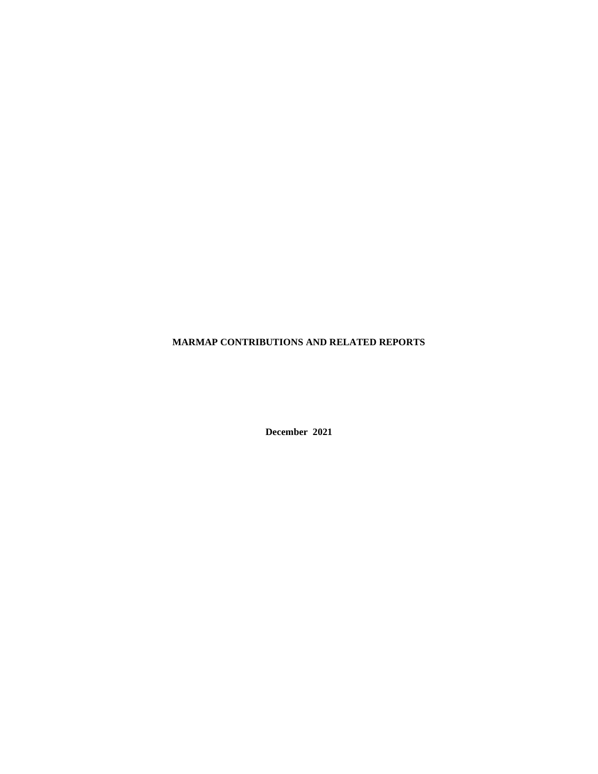## **MARMAP CONTRIBUTIONS AND RELATED REPORTS**

**December 2021**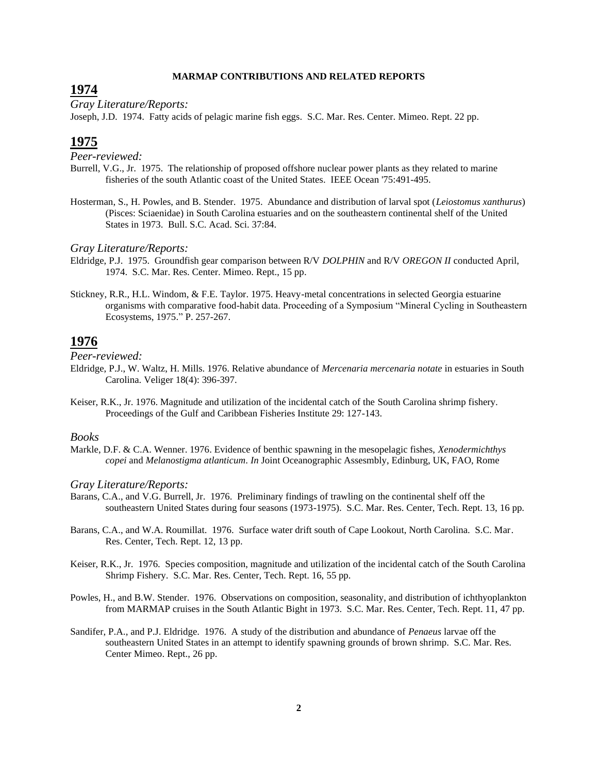#### **MARMAP CONTRIBUTIONS AND RELATED REPORTS**

# **1974**

*Gray Literature/Reports:*

Joseph, J.D. 1974. Fatty acids of pelagic marine fish eggs. S.C. Mar. Res. Center. Mimeo. Rept. 22 pp.

# **1975**

*Peer-reviewed:*

- Burrell, V.G., Jr. 1975. The relationship of proposed offshore nuclear power plants as they related to marine fisheries of the south Atlantic coast of the United States. IEEE Ocean '75:491-495.
- Hosterman, S., H. Powles, and B. Stender. 1975. Abundance and distribution of larval spot (*Leiostomus xanthurus*) (Pisces: Sciaenidae) in South Carolina estuaries and on the southeastern continental shelf of the United States in 1973. Bull. S.C. Acad. Sci. 37:84.

#### *Gray Literature/Reports:*

- Eldridge, P.J. 1975. Groundfish gear comparison between R/V *DOLPHIN* and R/V *OREGON II* conducted April, 1974. S.C. Mar. Res. Center. Mimeo. Rept., 15 pp.
- Stickney, R.R., H.L. Windom, & F.E. Taylor. 1975. Heavy-metal concentrations in selected Georgia estuarine organisms with comparative food-habit data. Proceeding of a Symposium "Mineral Cycling in Southeastern Ecosystems, 1975." P. 257-267.

# **1976**

*Peer-reviewed:*

- Eldridge, P.J., W. Waltz, H. Mills. 1976. Relative abundance of *Mercenaria mercenaria notate* in estuaries in South Carolina. Veliger 18(4): 396-397.
- Keiser, R.K., Jr. 1976. Magnitude and utilization of the incidental catch of the South Carolina shrimp fishery. Proceedings of the Gulf and Caribbean Fisheries Institute 29: 127-143.

### *Books*

Markle, D.F. & C.A. Wenner. 1976. Evidence of benthic spawning in the mesopelagic fishes, *Xenodermichthys copei* and *Melanostigma atlanticum*. *In* Joint Oceanographic Assesmbly, Edinburg, UK, FAO, Rome

#### *Gray Literature/Reports:*

- Barans, C.A., and V.G. Burrell, Jr. 1976. Preliminary findings of trawling on the continental shelf off the southeastern United States during four seasons (1973-1975). S.C. Mar. Res. Center, Tech. Rept. 13, 16 pp.
- Barans, C.A., and W.A. Roumillat. 1976. Surface water drift south of Cape Lookout, North Carolina. S.C. Mar. Res. Center, Tech. Rept. 12, 13 pp.
- Keiser, R.K., Jr. 1976. Species composition, magnitude and utilization of the incidental catch of the South Carolina Shrimp Fishery. S.C. Mar. Res. Center, Tech. Rept. 16, 55 pp.

Powles, H., and B.W. Stender. 1976. Observations on composition, seasonality, and distribution of ichthyoplankton from MARMAP cruises in the South Atlantic Bight in 1973. S.C. Mar. Res. Center, Tech. Rept. 11, 47 pp.

Sandifer, P.A., and P.J. Eldridge. 1976. A study of the distribution and abundance of *Penaeus* larvae off the southeastern United States in an attempt to identify spawning grounds of brown shrimp. S.C. Mar. Res. Center Mimeo. Rept., 26 pp.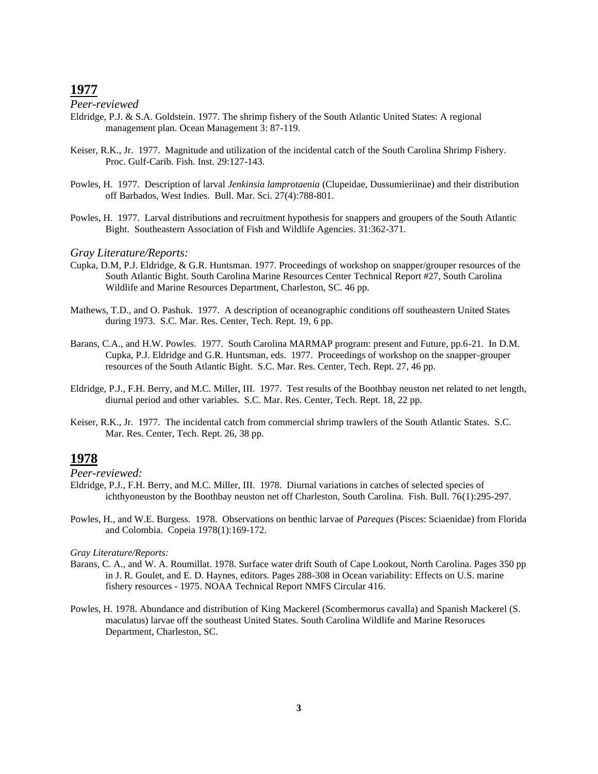*Peer-reviewed*

- Eldridge, P.J. & S.A. Goldstein. 1977. The shrimp fishery of the South Atlantic United States: A regional management plan. Ocean Management 3: 87-119.
- Keiser, R.K., Jr. 1977. Magnitude and utilization of the incidental catch of the South Carolina Shrimp Fishery. Proc. Gulf-Carib. Fish. Inst. 29:127-143.
- Powles, H. 1977. Description of larval *Jenkinsia lamprotaenia* (Clupeidae, Dussumieriinae) and their distribution off Barbados, West Indies. Bull. Mar. Sci. 27(4):788-801.
- Powles, H. 1977. Larval distributions and recruitment hypothesis for snappers and groupers of the South Atlantic Bight. Southeastern Association of Fish and Wildlife Agencies. 31:362-371.

#### *Gray Literature/Reports:*

- Cupka, D.M, P.J. Eldridge, & G.R. Huntsman. 1977. Proceedings of workshop on snapper/grouper resources of the South Atlantic Bight. South Carolina Marine Resources Center Technical Report #27, South Carolina Wildlife and Marine Resources Department, Charleston, SC. 46 pp.
- Mathews, T.D., and O. Pashuk. 1977. A description of oceanographic conditions off southeastern United States during 1973. S.C. Mar. Res. Center, Tech. Rept. 19, 6 pp.
- Barans, C.A., and H.W. Powles. 1977. South Carolina MARMAP program: present and Future, pp.6-21. In D.M. Cupka, P.J. Eldridge and G.R. Huntsman, eds. 1977. Proceedings of workshop on the snapper-grouper resources of the South Atlantic Bight. S.C. Mar. Res. Center, Tech. Rept. 27, 46 pp.
- Eldridge, P.J., F.H. Berry, and M.C. Miller, III. 1977. Test results of the Boothbay neuston net related to net length, diurnal period and other variables. S.C. Mar. Res. Center, Tech. Rept. 18, 22 pp.
- Keiser, R.K., Jr. 1977. The incidental catch from commercial shrimp trawlers of the South Atlantic States. S.C. Mar. Res. Center, Tech. Rept. 26, 38 pp.

# **1978**

*Peer-reviewed:*

- Eldridge, P.J., F.H. Berry, and M.C. Miller, III. 1978. Diurnal variations in catches of selected species of ichthyoneuston by the Boothbay neuston net off Charleston, South Carolina. Fish. Bull. 76(1):295-297.
- Powles, H., and W.E. Burgess. 1978. Observations on benthic larvae of *Pareques* (Pisces: Sciaenidae) from Florida and Colombia. Copeia 1978(1):169-172.

- Barans, C. A., and W. A. Roumillat. 1978. Surface water drift South of Cape Lookout, North Carolina. Pages 350 pp in J. R. Goulet, and E. D. Haynes, editors. Pages 288-308 in Ocean variability: Effects on U.S. marine fishery resources - 1975. NOAA Technical Report NMFS Circular 416.
- Powles, H. 1978. Abundance and distribution of King Mackerel (Scombermorus cavalla) and Spanish Mackerel (S. maculatus) larvae off the southeast United States. South Carolina Wildlife and Marine Resoruces Department, Charleston, SC.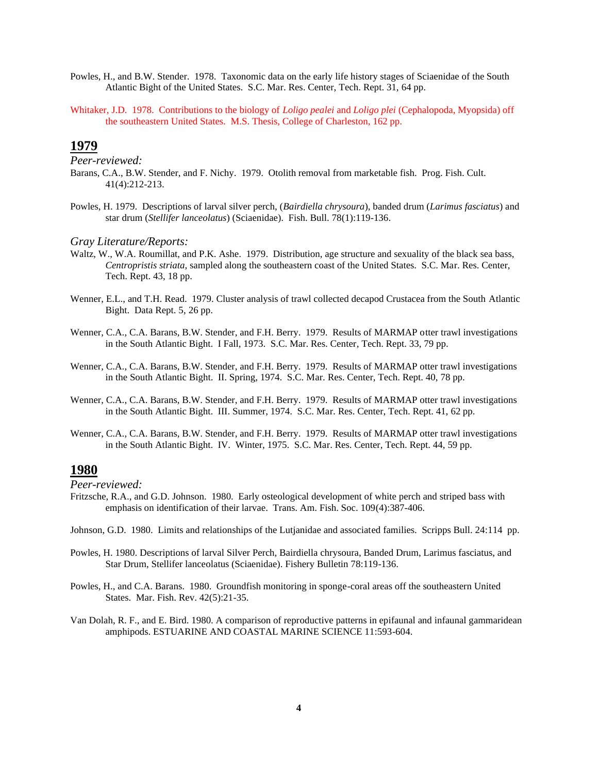- Powles, H., and B.W. Stender. 1978. Taxonomic data on the early life history stages of Sciaenidae of the South Atlantic Bight of the United States. S.C. Mar. Res. Center, Tech. Rept. 31, 64 pp.
- Whitaker, J.D. 1978. Contributions to the biology of *Loligo pealei* and *Loligo plei* (Cephalopoda, Myopsida) off the southeastern United States. M.S. Thesis, College of Charleston, 162 pp.

*Peer-reviewed:*

- Barans, C.A., B.W. Stender, and F. Nichy. 1979. Otolith removal from marketable fish. Prog. Fish. Cult. 41(4):212-213.
- Powles, H. 1979. Descriptions of larval silver perch, (*Bairdiella chrysoura*), banded drum (*Larimus fasciatus*) and star drum (*Stellifer lanceolatus*) (Sciaenidae). Fish. Bull. 78(1):119-136.

#### *Gray Literature/Reports:*

- Waltz, W., W.A. Roumillat, and P.K. Ashe. 1979. Distribution, age structure and sexuality of the black sea bass, *Centropristis striata*, sampled along the southeastern coast of the United States. S.C. Mar. Res. Center, Tech. Rept. 43, 18 pp.
- Wenner, E.L., and T.H. Read. 1979. Cluster analysis of trawl collected decapod Crustacea from the South Atlantic Bight. Data Rept. 5, 26 pp.
- Wenner, C.A., C.A. Barans, B.W. Stender, and F.H. Berry. 1979. Results of MARMAP otter trawl investigations in the South Atlantic Bight. I Fall, 1973. S.C. Mar. Res. Center, Tech. Rept. 33, 79 pp.
- Wenner, C.A., C.A. Barans, B.W. Stender, and F.H. Berry. 1979. Results of MARMAP otter trawl investigations in the South Atlantic Bight. II. Spring, 1974. S.C. Mar. Res. Center, Tech. Rept. 40, 78 pp.
- Wenner, C.A., C.A. Barans, B.W. Stender, and F.H. Berry. 1979. Results of MARMAP otter trawl investigations in the South Atlantic Bight. III. Summer, 1974. S.C. Mar. Res. Center, Tech. Rept. 41, 62 pp.
- Wenner, C.A., C.A. Barans, B.W. Stender, and F.H. Berry. 1979. Results of MARMAP otter trawl investigations in the South Atlantic Bight. IV. Winter, 1975. S.C. Mar. Res. Center, Tech. Rept. 44, 59 pp.

## **1980**

- Fritzsche, R.A., and G.D. Johnson. 1980. Early osteological development of white perch and striped bass with emphasis on identification of their larvae. Trans. Am. Fish. Soc. 109(4):387-406.
- Johnson, G.D. 1980. Limits and relationships of the Lutjanidae and associated families. Scripps Bull. 24:114 pp.
- Powles, H. 1980. Descriptions of larval Silver Perch, Bairdiella chrysoura, Banded Drum, Larimus fasciatus, and Star Drum, Stellifer lanceolatus (Sciaenidae). Fishery Bulletin 78:119-136.
- Powles, H., and C.A. Barans. 1980. Groundfish monitoring in sponge-coral areas off the southeastern United States. Mar. Fish. Rev. 42(5):21-35.
- Van Dolah, R. F., and E. Bird. 1980. A comparison of reproductive patterns in epifaunal and infaunal gammaridean amphipods. ESTUARINE AND COASTAL MARINE SCIENCE 11:593-604.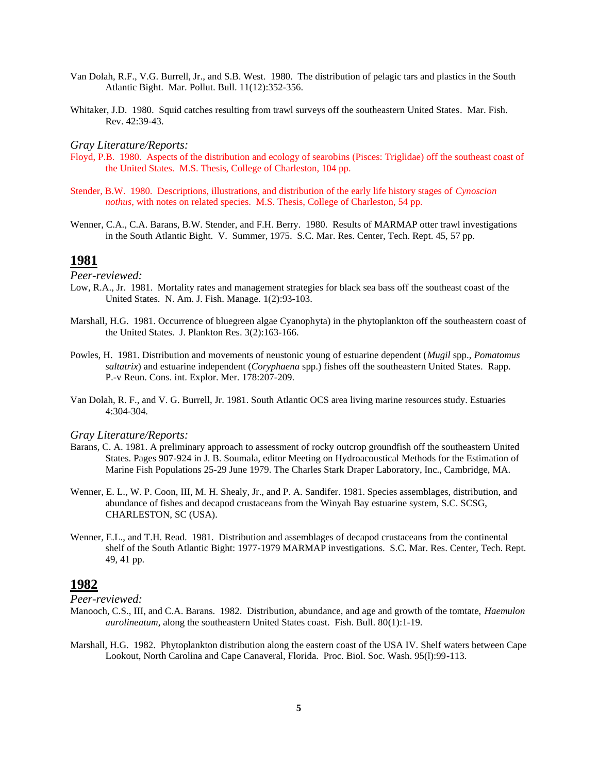- Van Dolah, R.F., V.G. Burrell, Jr., and S.B. West. 1980. The distribution of pelagic tars and plastics in the South Atlantic Bight. Mar. Pollut. Bull. 11(12):352-356.
- Whitaker, J.D. 1980. Squid catches resulting from trawl surveys off the southeastern United States. Mar. Fish. Rev. 42:39-43.

- Floyd, P.B. 1980. Aspects of the distribution and ecology of searobins (Pisces: Triglidae) off the southeast coast of the United States. M.S. Thesis, College of Charleston, 104 pp.
- Stender, B.W. 1980. Descriptions, illustrations, and distribution of the early life history stages of *Cynoscion nothus*, with notes on related species. M.S. Thesis, College of Charleston, 54 pp.
- Wenner, C.A., C.A. Barans, B.W. Stender, and F.H. Berry. 1980. Results of MARMAP otter trawl investigations in the South Atlantic Bight. V. Summer, 1975. S.C. Mar. Res. Center, Tech. Rept. 45, 57 pp.

### **1981**

*Peer-reviewed:*

- Low, R.A., Jr. 1981. Mortality rates and management strategies for black sea bass off the southeast coast of the United States. N. Am. J. Fish. Manage. 1(2):93-103.
- Marshall, H.G. 1981. Occurrence of bluegreen algae Cyanophyta) in the phytoplankton off the southeastern coast of the United States. J. Plankton Res. 3(2):163-166.
- Powles, H. 1981. Distribution and movements of neustonic young of estuarine dependent (*Mugil* spp., *Pomatomus saltatrix*) and estuarine independent (*Coryphaena* spp.) fishes off the southeastern United States. Rapp. P.-v Reun. Cons. int. Explor. Mer. 178:207-209.
- Van Dolah, R. F., and V. G. Burrell, Jr. 1981. South Atlantic OCS area living marine resources study. Estuaries 4:304-304.

### *Gray Literature/Reports:*

- Barans, C. A. 1981. A preliminary approach to assessment of rocky outcrop groundfish off the southeastern United States. Pages 907-924 in J. B. Soumala, editor Meeting on Hydroacoustical Methods for the Estimation of Marine Fish Populations 25-29 June 1979. The Charles Stark Draper Laboratory, Inc., Cambridge, MA.
- Wenner, E. L., W. P. Coon, III, M. H. Shealy, Jr., and P. A. Sandifer. 1981. Species assemblages, distribution, and abundance of fishes and decapod crustaceans from the Winyah Bay estuarine system, S.C. SCSG, CHARLESTON, SC (USA).
- Wenner, E.L., and T.H. Read. 1981. Distribution and assemblages of decapod crustaceans from the continental shelf of the South Atlantic Bight: 1977-1979 MARMAP investigations. S.C. Mar. Res. Center, Tech. Rept. 49, 41 pp.

## **1982**

- Manooch, C.S., III, and C.A. Barans. 1982. Distribution, abundance, and age and growth of the tomtate, *Haemulon aurolineatum*, along the southeastern United States coast. Fish. Bull. 80(1):1-19.
- Marshall, H.G. 1982. Phytoplankton distribution along the eastern coast of the USA IV. Shelf waters between Cape Lookout, North Carolina and Cape Canaveral, Florida. Proc. Biol. Soc. Wash. 95(l):99-113.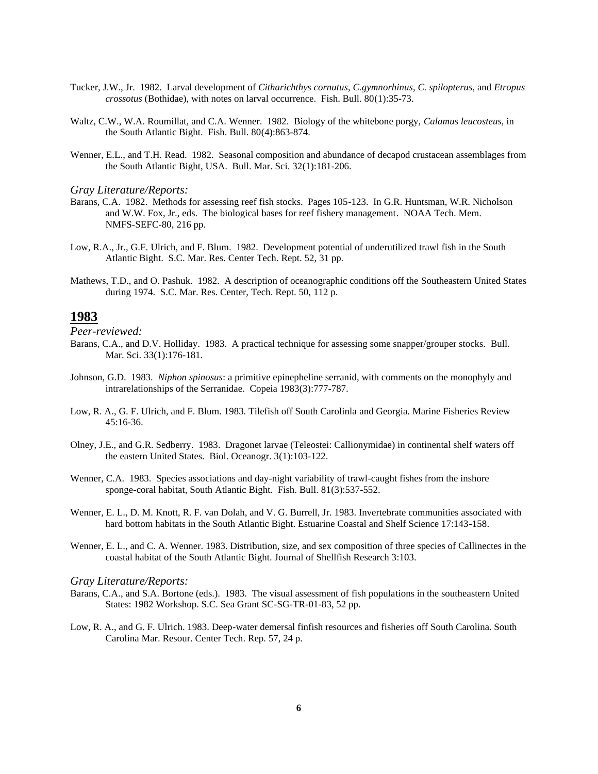- Tucker, J.W., Jr. 1982. Larval development of *Citharichthys cornutus*, *C.gymnorhinus*, *C. spilopterus*, and *Etropus crossotus* (Bothidae), with notes on larval occurrence. Fish. Bull. 80(1):35-73.
- Waltz, C.W., W.A. Roumillat, and C.A. Wenner. 1982. Biology of the whitebone porgy, *Calamus leucosteus*, in the South Atlantic Bight. Fish. Bull. 80(4):863-874.
- Wenner, E.L., and T.H. Read. 1982. Seasonal composition and abundance of decapod crustacean assemblages from the South Atlantic Bight, USA. Bull. Mar. Sci. 32(1):181-206.

- Barans, C.A. 1982. Methods for assessing reef fish stocks. Pages 105-123. In G.R. Huntsman, W.R. Nicholson and W.W. Fox, Jr., eds. The biological bases for reef fishery management. NOAA Tech. Mem. NMFS-SEFC-80, 216 pp.
- Low, R.A., Jr., G.F. Ulrich, and F. Blum. 1982. Development potential of underutilized trawl fish in the South Atlantic Bight. S.C. Mar. Res. Center Tech. Rept. 52, 31 pp.
- Mathews, T.D., and O. Pashuk. 1982. A description of oceanographic conditions off the Southeastern United States during 1974. S.C. Mar. Res. Center, Tech. Rept. 50, 112 p.

### **1983**

*Peer-reviewed:*

- Barans, C.A., and D.V. Holliday. 1983. A practical technique for assessing some snapper/grouper stocks. Bull. Mar. Sci. 33(1):176-181.
- Johnson, G.D. 1983. *Niphon spinosus*: a primitive epinepheline serranid, with comments on the monophyly and intrarelationships of the Serranidae. Copeia 1983(3):777-787.
- Low, R. A., G. F. Ulrich, and F. Blum. 1983. Tilefish off South Carolinla and Georgia. Marine Fisheries Review 45:16-36.
- Olney, J.E., and G.R. Sedberry. 1983. Dragonet larvae (Teleostei: Callionymidae) in continental shelf waters off the eastern United States. Biol. Oceanogr. 3(1):103-122.
- Wenner, C.A. 1983. Species associations and day-night variability of trawl-caught fishes from the inshore sponge-coral habitat, South Atlantic Bight. Fish. Bull. 81(3):537-552.
- Wenner, E. L., D. M. Knott, R. F. van Dolah, and V. G. Burrell, Jr. 1983. Invertebrate communities associated with hard bottom habitats in the South Atlantic Bight. Estuarine Coastal and Shelf Science 17:143-158.
- Wenner, E. L., and C. A. Wenner. 1983. Distribution, size, and sex composition of three species of Callinectes in the coastal habitat of the South Atlantic Bight. Journal of Shellfish Research 3:103.

- Barans, C.A., and S.A. Bortone (eds.). 1983. The visual assessment of fish populations in the southeastern United States: 1982 Workshop. S.C. Sea Grant SC-SG-TR-01-83, 52 pp.
- Low, R. A., and G. F. Ulrich. 1983. Deep-water demersal finfish resources and fisheries off South Carolina. South Carolina Mar. Resour. Center Tech. Rep. 57, 24 p.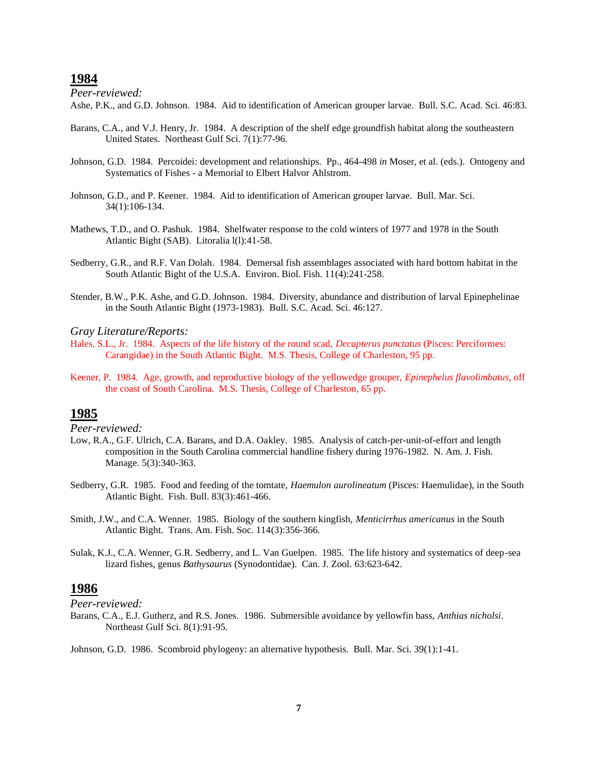*Peer-reviewed:*

Ashe, P.K., and G.D. Johnson. 1984. Aid to identification of American grouper larvae. Bull. S.C. Acad. Sci. 46:83.

- Barans, C.A., and V.J. Henry, Jr. 1984. A description of the shelf edge groundfish habitat along the southeastern United States. Northeast Gulf Sci. 7(1):77-96.
- Johnson, G.D. 1984. Percoidei: development and relationships. Pp., 464-498 *in* Moser, et al. (eds.). Ontogeny and Systematics of Fishes - a Memorial to Elbert Halvor Ahlstrom.
- Johnson, G.D., and P. Keener. 1984. Aid to identification of American grouper larvae. Bull. Mar. Sci. 34(1):106-134.
- Mathews, T.D., and O. Pashuk. 1984. Shelfwater response to the cold winters of 1977 and 1978 in the South Atlantic Bight (SAB). Litoralia l(l):41-58.
- Sedberry, G.R., and R.F. Van Dolah. 1984. Demersal fish assemblages associated with hard bottom habitat in the South Atlantic Bight of the U.S.A. Environ. Biol. Fish. 11(4):241-258.
- Stender, B.W., P.K. Ashe, and G.D. Johnson. 1984. Diversity, abundance and distribution of larval Epinephelinae in the South Atlantic Bight (1973-1983). Bull. S.C. Acad. Sci. 46:127.

#### *Gray Literature/Reports:*

- Hales, S.L., Jr. 1984. Aspects of the life history of the round scad, *Decapterus punctatus* (Pisces: Perciformes: Carangidae) in the South Atlantic Bight. M.S. Thesis, College of Charleston, 95 pp.
- Keener, P. 1984. Age, growth, and reproductive biology of the yellowedge grouper, *Epinephelus flavolimbatus*, off the coast of South Carolina. M.S. Thesis, College of Charleston, 65 pp.

### **1985**

*Peer-reviewed:*

- Low, R.A., G.F. Ulrich, C.A. Barans, and D.A. Oakley. 1985. Analysis of catch-per-unit-of-effort and length composition in the South Carolina commercial handline fishery during 1976-1982. N. Am. J. Fish. Manage. 5(3):340-363.
- Sedberry, G.R. 1985. Food and feeding of the tomtate, *Haemulon aurolineatum* (Pisces: Haemulidae), in the South Atlantic Bight. Fish. Bull. 83(3):461-466.
- Smith, J.W., and C.A. Wenner. 1985. Biology of the southern kingfish, *Menticirrhus americanus* in the South Atlantic Bight. Trans. Am. Fish. Soc. 114(3):356-366.
- Sulak, K.J., C.A. Wenner, G.R. Sedberry, and L. Van Guelpen. 1985. The life history and systematics of deep-sea lizard fishes, genus *Bathysaurus* (Synodontidae). Can. J. Zool. 63:623-642.

### **1986**

*Peer-reviewed:*

Barans, C.A., E.J. Gutherz, and R.S. Jones. 1986. Submersible avoidance by yellowfin bass, *Anthias nicholsi*. Northeast Gulf Sci. 8(1):91-95.

Johnson, G.D. 1986. Scombroid phylogeny: an alternative hypothesis. Bull. Mar. Sci. 39(1):1-41.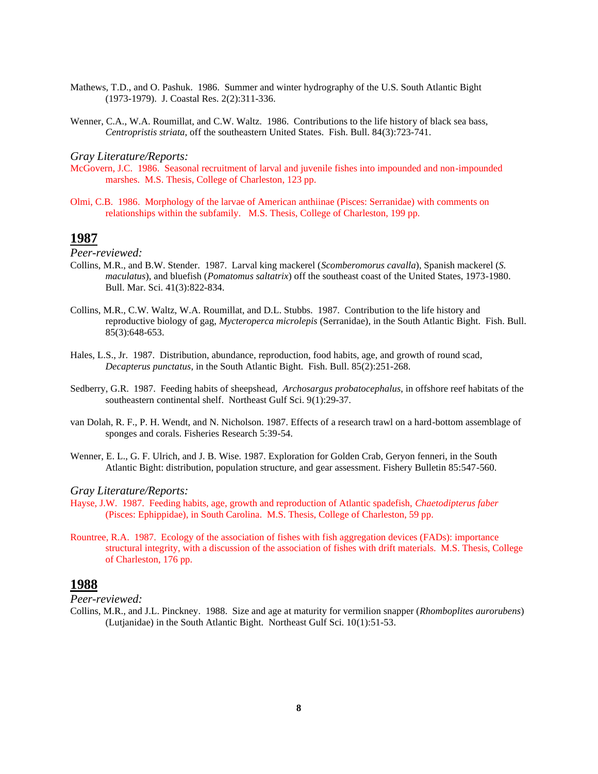- Mathews, T.D., and O. Pashuk. 1986. Summer and winter hydrography of the U.S. South Atlantic Bight (1973-1979). J. Coastal Res. 2(2):311-336.
- Wenner, C.A., W.A. Roumillat, and C.W. Waltz. 1986. Contributions to the life history of black sea bass, *Centropristis striata*, off the southeastern United States. Fish. Bull. 84(3):723-741.

- McGovern, J.C. 1986. Seasonal recruitment of larval and juvenile fishes into impounded and non-impounded marshes. M.S. Thesis, College of Charleston, 123 pp.
- Olmi, C.B. 1986. Morphology of the larvae of American anthiinae (Pisces: Serranidae) with comments on relationships within the subfamily. M.S. Thesis, College of Charleston, 199 pp.

## **1987**

*Peer-reviewed:*

- Collins, M.R., and B.W. Stender. 1987. Larval king mackerel (*Scomberomorus cavalla*), Spanish mackerel (*S. maculatus*), and bluefish (*Pomatomus saltatrix*) off the southeast coast of the United States, 1973-1980. Bull. Mar. Sci. 41(3):822-834.
- Collins, M.R., C.W. Waltz, W.A. Roumillat, and D.L. Stubbs. 1987. Contribution to the life history and reproductive biology of gag, *Mycteroperca microlepis* (Serranidae), in the South Atlantic Bight. Fish. Bull. 85(3):648-653.
- Hales, L.S., Jr. 1987. Distribution, abundance, reproduction, food habits, age, and growth of round scad, *Decapterus punctatus*, in the South Atlantic Bight. Fish. Bull. 85(2):251-268.
- Sedberry, G.R. 1987. Feeding habits of sheepshead, *Archosargus probatocephalus*, in offshore reef habitats of the southeastern continental shelf. Northeast Gulf Sci. 9(1):29-37.
- van Dolah, R. F., P. H. Wendt, and N. Nicholson. 1987. Effects of a research trawl on a hard-bottom assemblage of sponges and corals. Fisheries Research 5:39-54.
- Wenner, E. L., G. F. Ulrich, and J. B. Wise. 1987. Exploration for Golden Crab, Geryon fenneri, in the South Atlantic Bight: distribution, population structure, and gear assessment. Fishery Bulletin 85:547-560.

#### *Gray Literature/Reports:*

- Hayse, J.W. 1987. Feeding habits, age, growth and reproduction of Atlantic spadefish, *Chaetodipterus faber* (Pisces: Ephippidae), in South Carolina. M.S. Thesis, College of Charleston, 59 pp.
- Rountree, R.A. 1987. Ecology of the association of fishes with fish aggregation devices (FADs): importance structural integrity, with a discussion of the association of fishes with drift materials. M.S. Thesis, College of Charleston, 176 pp.

## **1988**

*Peer-reviewed:*

Collins, M.R., and J.L. Pinckney. 1988. Size and age at maturity for vermilion snapper (*Rhomboplites aurorubens*) (Lutjanidae) in the South Atlantic Bight. Northeast Gulf Sci. 10(1):51-53.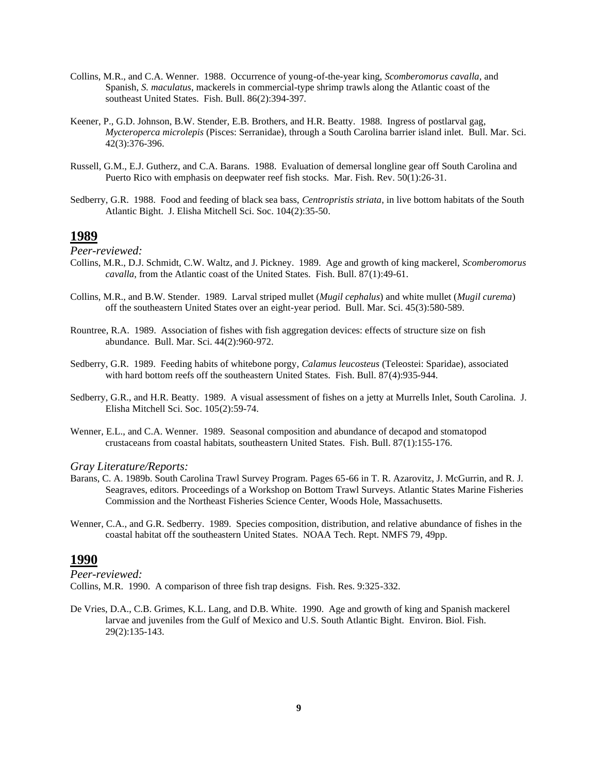- Collins, M.R., and C.A. Wenner. 1988. Occurrence of young-of-the-year king, *Scomberomorus cavalla*, and Spanish, *S. maculatus*, mackerels in commercial-type shrimp trawls along the Atlantic coast of the southeast United States. Fish. Bull. 86(2):394-397.
- Keener, P., G.D. Johnson, B.W. Stender, E.B. Brothers, and H.R. Beatty. 1988. Ingress of postlarval gag, *Mycteroperca microlepis* (Pisces: Serranidae), through a South Carolina barrier island inlet. Bull. Mar. Sci. 42(3):376-396.
- Russell, G.M., E.J. Gutherz, and C.A. Barans. 1988. Evaluation of demersal longline gear off South Carolina and Puerto Rico with emphasis on deepwater reef fish stocks. Mar. Fish. Rev. 50(1):26-31.
- Sedberry, G.R. 1988. Food and feeding of black sea bass, *Centropristis striata*, in live bottom habitats of the South Atlantic Bight. J. Elisha Mitchell Sci. Soc. 104(2):35-50.

*Peer-reviewed:*

- Collins, M.R., D.J. Schmidt, C.W. Waltz, and J. Pickney. 1989. Age and growth of king mackerel, *Scomberomorus cavalla*, from the Atlantic coast of the United States. Fish. Bull. 87(1):49-61.
- Collins, M.R., and B.W. Stender. 1989. Larval striped mullet (*Mugil cephalus*) and white mullet (*Mugil curema*) off the southeastern United States over an eight-year period. Bull. Mar. Sci. 45(3):580-589.
- Rountree, R.A. 1989. Association of fishes with fish aggregation devices: effects of structure size on fish abundance. Bull. Mar. Sci. 44(2):960-972.
- Sedberry, G.R. 1989. Feeding habits of whitebone porgy, *Calamus leucosteus* (Teleostei: Sparidae), associated with hard bottom reefs off the southeastern United States. Fish. Bull. 87(4):935-944.
- Sedberry, G.R., and H.R. Beatty. 1989. A visual assessment of fishes on a jetty at Murrells Inlet, South Carolina. J. Elisha Mitchell Sci. Soc. 105(2):59-74.
- Wenner, E.L., and C.A. Wenner. 1989. Seasonal composition and abundance of decapod and stomatopod crustaceans from coastal habitats, southeastern United States. Fish. Bull. 87(1):155-176.

#### *Gray Literature/Reports:*

- Barans, C. A. 1989b. South Carolina Trawl Survey Program. Pages 65-66 in T. R. Azarovitz, J. McGurrin, and R. J. Seagraves, editors. Proceedings of a Workshop on Bottom Trawl Surveys. Atlantic States Marine Fisheries Commission and the Northeast Fisheries Science Center, Woods Hole, Massachusetts.
- Wenner, C.A., and G.R. Sedberry. 1989. Species composition, distribution, and relative abundance of fishes in the coastal habitat off the southeastern United States. NOAA Tech. Rept. NMFS 79, 49pp.

### **1990**

*Peer-reviewed:* Collins, M.R. 1990. A comparison of three fish trap designs. Fish. Res. 9:325-332.

De Vries, D.A., C.B. Grimes, K.L. Lang, and D.B. White. 1990. Age and growth of king and Spanish mackerel larvae and juveniles from the Gulf of Mexico and U.S. South Atlantic Bight. Environ. Biol. Fish. 29(2):135-143.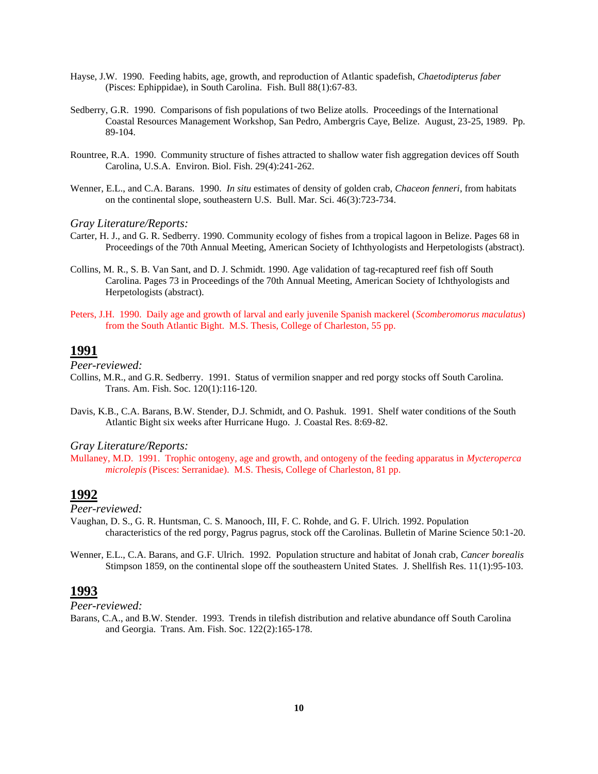- Hayse, J.W. 1990. Feeding habits, age, growth, and reproduction of Atlantic spadefish, *Chaetodipterus faber* (Pisces: Ephippidae), in South Carolina. Fish. Bull 88(1):67-83.
- Sedberry, G.R. 1990. Comparisons of fish populations of two Belize atolls. Proceedings of the International Coastal Resources Management Workshop, San Pedro, Ambergris Caye, Belize. August, 23-25, 1989. Pp. 89-104.
- Rountree, R.A. 1990. Community structure of fishes attracted to shallow water fish aggregation devices off South Carolina, U.S.A. Environ. Biol. Fish. 29(4):241-262.
- Wenner, E.L., and C.A. Barans. 1990. *In situ* estimates of density of golden crab, *Chaceon fenneri*, from habitats on the continental slope, southeastern U.S. Bull. Mar. Sci. 46(3):723-734.

- Carter, H. J., and G. R. Sedberry. 1990. Community ecology of fishes from a tropical lagoon in Belize. Pages 68 in Proceedings of the 70th Annual Meeting, American Society of Ichthyologists and Herpetologists (abstract).
- Collins, M. R., S. B. Van Sant, and D. J. Schmidt. 1990. Age validation of tag-recaptured reef fish off South Carolina. Pages 73 in Proceedings of the 70th Annual Meeting, American Society of Ichthyologists and Herpetologists (abstract).
- Peters, J.H. 1990. Daily age and growth of larval and early juvenile Spanish mackerel (*Scomberomorus maculatus*) from the South Atlantic Bight. M.S. Thesis, College of Charleston, 55 pp.

## **1991**

*Peer-reviewed:*

- Collins, M.R., and G.R. Sedberry. 1991. Status of vermilion snapper and red porgy stocks off South Carolina. Trans. Am. Fish. Soc. 120(1):116-120.
- Davis, K.B., C.A. Barans, B.W. Stender, D.J. Schmidt, and O. Pashuk. 1991. Shelf water conditions of the South Atlantic Bight six weeks after Hurricane Hugo. J. Coastal Res. 8:69-82.

#### *Gray Literature/Reports:*

Mullaney, M.D. 1991. Trophic ontogeny, age and growth, and ontogeny of the feeding apparatus in *Mycteroperca microlepis* (Pisces: Serranidae). M.S. Thesis, College of Charleston, 81 pp.

# **1992**

*Peer-reviewed:*

- Vaughan, D. S., G. R. Huntsman, C. S. Manooch, III, F. C. Rohde, and G. F. Ulrich. 1992. Population characteristics of the red porgy, Pagrus pagrus, stock off the Carolinas. Bulletin of Marine Science 50:1-20.
- Wenner, E.L., C.A. Barans, and G.F. Ulrich. 1992. Population structure and habitat of Jonah crab, *Cancer borealis* Stimpson 1859, on the continental slope off the southeastern United States. J. Shellfish Res. 11(1):95-103.

### **1993**

*Peer-reviewed:*

Barans, C.A., and B.W. Stender. 1993. Trends in tilefish distribution and relative abundance off South Carolina and Georgia. Trans. Am. Fish. Soc. 122(2):165-178.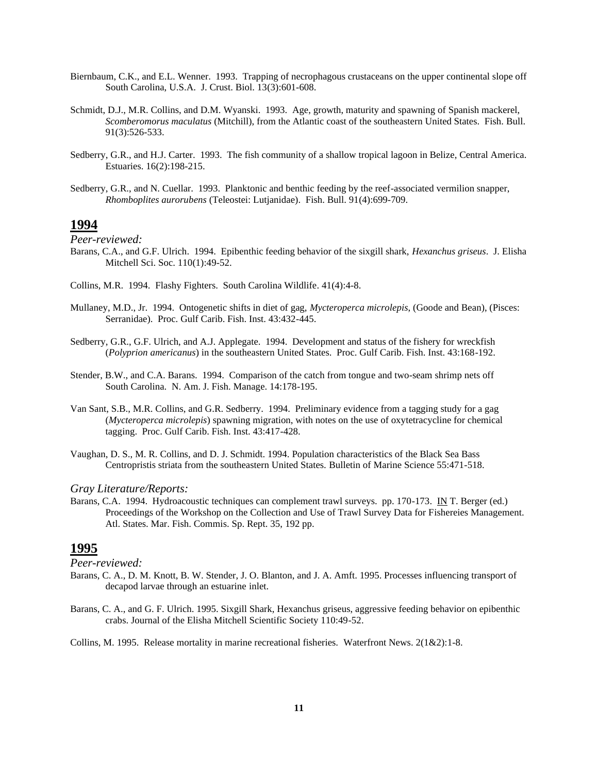- Biernbaum, C.K., and E.L. Wenner. 1993. Trapping of necrophagous crustaceans on the upper continental slope off South Carolina, U.S.A. J. Crust. Biol. 13(3):601-608.
- Schmidt, D.J., M.R. Collins, and D.M. Wyanski. 1993. Age, growth, maturity and spawning of Spanish mackerel, *Scomberomorus maculatus* (Mitchill), from the Atlantic coast of the southeastern United States. Fish. Bull. 91(3):526-533.
- Sedberry, G.R., and H.J. Carter. 1993. The fish community of a shallow tropical lagoon in Belize, Central America. Estuaries. 16(2):198-215.
- Sedberry, G.R., and N. Cuellar. 1993. Planktonic and benthic feeding by the reef-associated vermilion snapper, *Rhomboplites aurorubens* (Teleostei: Lutjanidae). Fish. Bull. 91(4):699-709.

*Peer-reviewed:*

- Barans, C.A., and G.F. Ulrich. 1994. Epibenthic feeding behavior of the sixgill shark, *Hexanchus griseus*. J. Elisha Mitchell Sci. Soc. 110(1):49-52.
- Collins, M.R. 1994. Flashy Fighters. South Carolina Wildlife. 41(4):4-8.
- Mullaney, M.D., Jr. 1994. Ontogenetic shifts in diet of gag, *Mycteroperca microlepis*, (Goode and Bean), (Pisces: Serranidae). Proc. Gulf Carib. Fish. Inst. 43:432-445.
- Sedberry, G.R., G.F. Ulrich, and A.J. Applegate. 1994. Development and status of the fishery for wreckfish (*Polyprion americanus*) in the southeastern United States. Proc. Gulf Carib. Fish. Inst. 43:168-192.
- Stender, B.W., and C.A. Barans. 1994. Comparison of the catch from tongue and two-seam shrimp nets off South Carolina. N. Am. J. Fish. Manage. 14:178-195.
- Van Sant, S.B., M.R. Collins, and G.R. Sedberry. 1994. Preliminary evidence from a tagging study for a gag (*Mycteroperca microlepis*) spawning migration, with notes on the use of oxytetracycline for chemical tagging. Proc. Gulf Carib. Fish. Inst. 43:417-428.
- Vaughan, D. S., M. R. Collins, and D. J. Schmidt. 1994. Population characteristics of the Black Sea Bass Centropristis striata from the southeastern United States. Bulletin of Marine Science 55:471-518.

#### *Gray Literature/Reports:*

Barans, C.A. 1994. Hydroacoustic techniques can complement trawl surveys. pp. 170-173. IN T. Berger (ed.) Proceedings of the Workshop on the Collection and Use of Trawl Survey Data for Fishereies Management. Atl. States. Mar. Fish. Commis. Sp. Rept. 35, 192 pp.

## **1995**

*Peer-reviewed:*

- Barans, C. A., D. M. Knott, B. W. Stender, J. O. Blanton, and J. A. Amft. 1995. Processes influencing transport of decapod larvae through an estuarine inlet.
- Barans, C. A., and G. F. Ulrich. 1995. Sixgill Shark, Hexanchus griseus, aggressive feeding behavior on epibenthic crabs. Journal of the Elisha Mitchell Scientific Society 110:49-52.

Collins, M. 1995. Release mortality in marine recreational fisheries. Waterfront News. 2(1&2):1-8.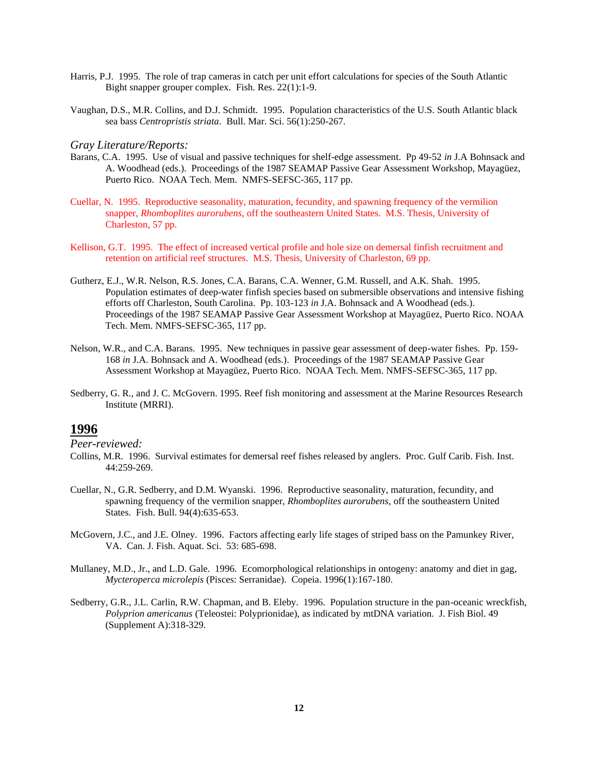- Harris, P.J. 1995. The role of trap cameras in catch per unit effort calculations for species of the South Atlantic Bight snapper grouper complex. Fish. Res. 22(1):1-9.
- Vaughan, D.S., M.R. Collins, and D.J. Schmidt. 1995. Population characteristics of the U.S. South Atlantic black sea bass *Centropristis striata*. Bull. Mar. Sci. 56(1):250-267.

- Barans, C.A. 1995. Use of visual and passive techniques for shelf-edge assessment. Pp 49-52 *in* J.A Bohnsack and A. Woodhead (eds.). Proceedings of the 1987 SEAMAP Passive Gear Assessment Workshop, Mayagüez, Puerto Rico. NOAA Tech. Mem. NMFS-SEFSC-365, 117 pp.
- Cuellar, N. 1995. Reproductive seasonality, maturation, fecundity, and spawning frequency of the vermilion snapper, *Rhomboplites aurorubens*, off the southeastern United States. M.S. Thesis, University of Charleston, 57 pp.
- Kellison, G.T. 1995. The effect of increased vertical profile and hole size on demersal finfish recruitment and retention on artificial reef structures. M.S. Thesis, University of Charleston, 69 pp.
- Gutherz, E.J., W.R. Nelson, R.S. Jones, C.A. Barans, C.A. Wenner, G.M. Russell, and A.K. Shah. 1995. Population estimates of deep-water finfish species based on submersible observations and intensive fishing efforts off Charleston, South Carolina. Pp. 103-123 *in* J.A. Bohnsack and A Woodhead (eds.). Proceedings of the 1987 SEAMAP Passive Gear Assessment Workshop at Mayagüez, Puerto Rico. NOAA Tech. Mem. NMFS-SEFSC-365, 117 pp.
- Nelson, W.R., and C.A. Barans. 1995. New techniques in passive gear assessment of deep-water fishes. Pp. 159- 168 *in* J.A. Bohnsack and A. Woodhead (eds.). Proceedings of the 1987 SEAMAP Passive Gear Assessment Workshop at Mayagüez, Puerto Rico. NOAA Tech. Mem. NMFS-SEFSC-365, 117 pp.
- Sedberry, G. R., and J. C. McGovern. 1995. Reef fish monitoring and assessment at the Marine Resources Research Institute (MRRI).

### **1996**

- Collins, M.R. 1996. Survival estimates for demersal reef fishes released by anglers. Proc. Gulf Carib. Fish. Inst. 44:259-269.
- Cuellar, N., G.R. Sedberry, and D.M. Wyanski. 1996. Reproductive seasonality, maturation, fecundity, and spawning frequency of the vermilion snapper, *Rhomboplites aurorubens*, off the southeastern United States. Fish. Bull. 94(4):635-653.
- McGovern, J.C., and J.E. Olney. 1996. Factors affecting early life stages of striped bass on the Pamunkey River, VA. Can. J. Fish. Aquat. Sci. 53: 685-698.
- Mullaney, M.D., Jr., and L.D. Gale. 1996. Ecomorphological relationships in ontogeny: anatomy and diet in gag, *Mycteroperca microlepis* (Pisces: Serranidae). Copeia. 1996(1):167-180.
- Sedberry, G.R., J.L. Carlin, R.W. Chapman, and B. Eleby. 1996. Population structure in the pan-oceanic wreckfish, *Polyprion americanus* (Teleostei: Polyprionidae), as indicated by mtDNA variation. J. Fish Biol. 49 (Supplement A):318-329.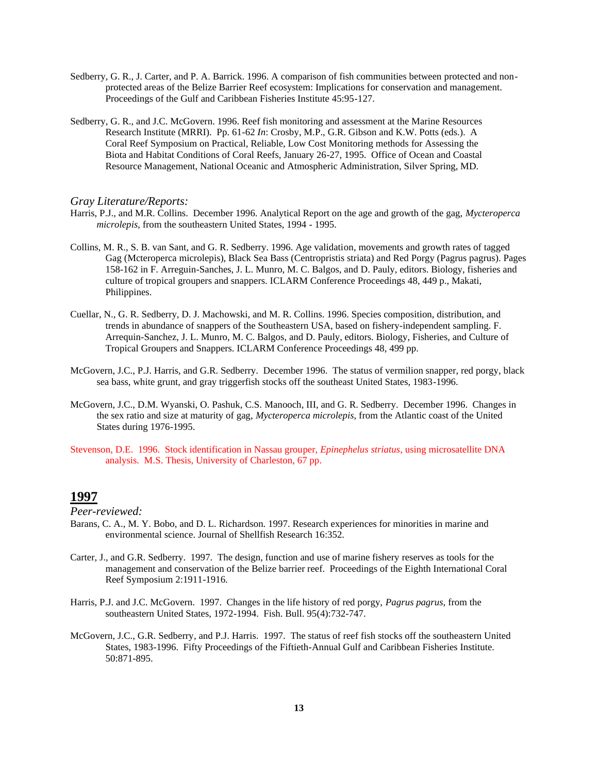- Sedberry, G. R., J. Carter, and P. A. Barrick. 1996. A comparison of fish communities between protected and nonprotected areas of the Belize Barrier Reef ecosystem: Implications for conservation and management. Proceedings of the Gulf and Caribbean Fisheries Institute 45:95-127.
- Sedberry, G. R., and J.C. McGovern. 1996. Reef fish monitoring and assessment at the Marine Resources Research Institute (MRRI). Pp. 61-62 *In*: Crosby, M.P., G.R. Gibson and K.W. Potts (eds.). A Coral Reef Symposium on Practical, Reliable, Low Cost Monitoring methods for Assessing the Biota and Habitat Conditions of Coral Reefs, January 26-27, 1995. Office of Ocean and Coastal Resource Management, National Oceanic and Atmospheric Administration, Silver Spring, MD.

- Harris, P.J., and M.R. Collins. December 1996. Analytical Report on the age and growth of the gag, *Mycteroperca microlepis*, from the southeastern United States, 1994 - 1995.
- Collins, M. R., S. B. van Sant, and G. R. Sedberry. 1996. Age validation, movements and growth rates of tagged Gag (Mcteroperca microlepis), Black Sea Bass (Centropristis striata) and Red Porgy (Pagrus pagrus). Pages 158-162 in F. Arreguin-Sanches, J. L. Munro, M. C. Balgos, and D. Pauly, editors. Biology, fisheries and culture of tropical groupers and snappers. ICLARM Conference Proceedings 48, 449 p., Makati, Philippines.
- Cuellar, N., G. R. Sedberry, D. J. Machowski, and M. R. Collins. 1996. Species composition, distribution, and trends in abundance of snappers of the Southeastern USA, based on fishery-independent sampling. F. Arrequin-Sanchez, J. L. Munro, M. C. Balgos, and D. Pauly, editors. Biology, Fisheries, and Culture of Tropical Groupers and Snappers. ICLARM Conference Proceedings 48, 499 pp.
- McGovern, J.C., P.J. Harris, and G.R. Sedberry. December 1996. The status of vermilion snapper, red porgy, black sea bass, white grunt, and gray triggerfish stocks off the southeast United States, 1983-1996.
- McGovern, J.C., D.M. Wyanski, O. Pashuk, C.S. Manooch, III, and G. R. Sedberry. December 1996. Changes in the sex ratio and size at maturity of gag, *Mycteroperca microlepis*, from the Atlantic coast of the United States during 1976-1995.
- Stevenson, D.E. 1996. Stock identification in Nassau grouper, *Epinephelus striatus*, using microsatellite DNA analysis. M.S. Thesis, University of Charleston, 67 pp.

## **1997**

- Barans, C. A., M. Y. Bobo, and D. L. Richardson. 1997. Research experiences for minorities in marine and environmental science. Journal of Shellfish Research 16:352.
- Carter, J., and G.R. Sedberry. 1997. The design, function and use of marine fishery reserves as tools for the management and conservation of the Belize barrier reef. Proceedings of the Eighth International Coral Reef Symposium 2:1911-1916.
- Harris, P.J. and J.C. McGovern. 1997. Changes in the life history of red porgy, *Pagrus pagrus*, from the southeastern United States, 1972-1994. Fish. Bull. 95(4):732-747.
- McGovern, J.C., G.R. Sedberry, and P.J. Harris. 1997. The status of reef fish stocks off the southeastern United States, 1983-1996. Fifty Proceedings of the Fiftieth-Annual Gulf and Caribbean Fisheries Institute. 50:871-895.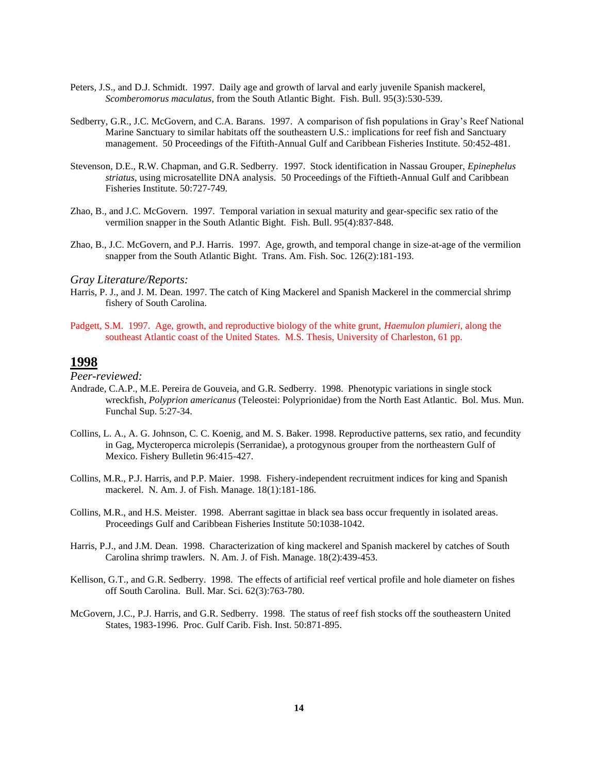- Peters, J.S., and D.J. Schmidt. 1997. Daily age and growth of larval and early juvenile Spanish mackerel, *Scomberomorus maculatus*, from the South Atlantic Bight. Fish. Bull. 95(3):530-539.
- Sedberry, G.R., J.C. McGovern, and C.A. Barans. 1997. A comparison of fish populations in Gray's Reef National Marine Sanctuary to similar habitats off the southeastern U.S.: implications for reef fish and Sanctuary management. 50 Proceedings of the Fiftith-Annual Gulf and Caribbean Fisheries Institute. 50:452-481.
- Stevenson, D.E., R.W. Chapman, and G.R. Sedberry. 1997. Stock identification in Nassau Grouper, *Epinephelus striatus*, using microsatellite DNA analysis. 50 Proceedings of the Fiftieth-Annual Gulf and Caribbean Fisheries Institute. 50:727-749.
- Zhao, B., and J.C. McGovern. 1997. Temporal variation in sexual maturity and gear-specific sex ratio of the vermilion snapper in the South Atlantic Bight. Fish. Bull. 95(4):837-848.
- Zhao, B., J.C. McGovern, and P.J. Harris. 1997. Age, growth, and temporal change in size-at-age of the vermilion snapper from the South Atlantic Bight. Trans. Am. Fish. Soc. 126(2):181-193.

- Harris, P. J., and J. M. Dean. 1997. The catch of King Mackerel and Spanish Mackerel in the commercial shrimp fishery of South Carolina.
- Padgett, S.M. 1997. Age, growth, and reproductive biology of the white grunt, *Haemulon plumieri*, along the southeast Atlantic coast of the United States. M.S. Thesis, University of Charleston, 61 pp.

### **1998**

- Andrade, C.A.P., M.E. Pereira de Gouveia, and G.R. Sedberry. 1998. Phenotypic variations in single stock wreckfish, *Polyprion americanus* (Teleostei: Polyprionidae) from the North East Atlantic. Bol. Mus. Mun. Funchal Sup. 5:27-34.
- Collins, L. A., A. G. Johnson, C. C. Koenig, and M. S. Baker. 1998. Reproductive patterns, sex ratio, and fecundity in Gag, Mycteroperca microlepis (Serranidae), a protogynous grouper from the northeastern Gulf of Mexico. Fishery Bulletin 96:415-427.
- Collins, M.R., P.J. Harris, and P.P. Maier. 1998. Fishery-independent recruitment indices for king and Spanish mackerel. N. Am. J. of Fish. Manage. 18(1):181-186.
- Collins, M.R., and H.S. Meister. 1998. Aberrant sagittae in black sea bass occur frequently in isolated areas. Proceedings Gulf and Caribbean Fisheries Institute 50:1038-1042.
- Harris, P.J., and J.M. Dean. 1998. Characterization of king mackerel and Spanish mackerel by catches of South Carolina shrimp trawlers. N. Am. J. of Fish. Manage. 18(2):439-453.
- Kellison, G.T., and G.R. Sedberry. 1998. The effects of artificial reef vertical profile and hole diameter on fishes off South Carolina. Bull. Mar. Sci. 62(3):763-780.
- McGovern, J.C., P.J. Harris, and G.R. Sedberry. 1998. The status of reef fish stocks off the southeastern United States, 1983-1996. Proc. Gulf Carib. Fish. Inst. 50:871-895.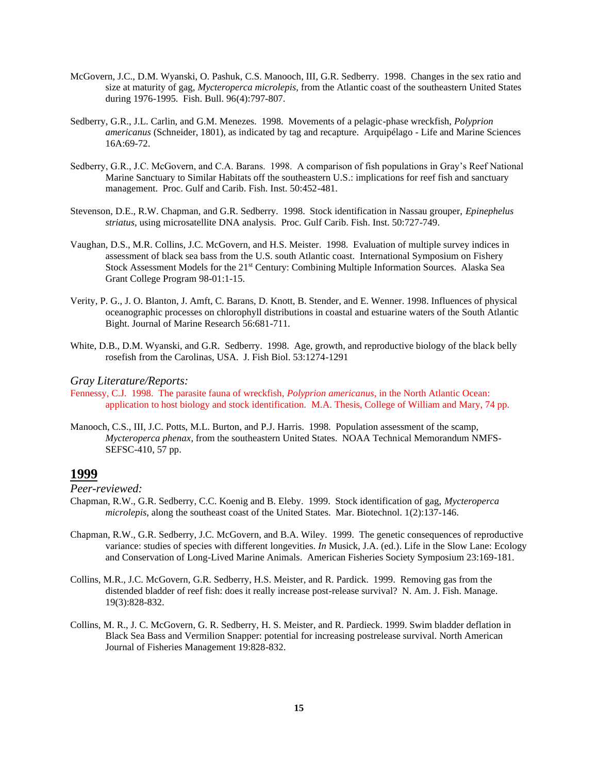- McGovern, J.C., D.M. Wyanski, O. Pashuk, C.S. Manooch, III, G.R. Sedberry. 1998. Changes in the sex ratio and size at maturity of gag, *Mycteroperca microlepis*, from the Atlantic coast of the southeastern United States during 1976-1995. Fish. Bull. 96(4):797-807.
- Sedberry, G.R., J.L. Carlin, and G.M. Menezes. 1998. Movements of a pelagic-phase wreckfish, *Polyprion americanus* (Schneider, 1801), as indicated by tag and recapture. Arquipélago - Life and Marine Sciences 16A:69-72.
- Sedberry, G.R., J.C. McGovern, and C.A. Barans. 1998. A comparison of fish populations in Gray's Reef National Marine Sanctuary to Similar Habitats off the southeastern U.S.: implications for reef fish and sanctuary management. Proc. Gulf and Carib. Fish. Inst. 50:452-481.
- Stevenson, D.E., R.W. Chapman, and G.R. Sedberry. 1998. Stock identification in Nassau grouper, *Epinephelus striatus*, using microsatellite DNA analysis. Proc. Gulf Carib. Fish. Inst. 50:727-749.
- Vaughan, D.S., M.R. Collins, J.C. McGovern, and H.S. Meister. 1998. Evaluation of multiple survey indices in assessment of black sea bass from the U.S. south Atlantic coast. International Symposium on Fishery Stock Assessment Models for the 21<sup>st</sup> Century: Combining Multiple Information Sources. Alaska Sea Grant College Program 98-01:1-15.
- Verity, P. G., J. O. Blanton, J. Amft, C. Barans, D. Knott, B. Stender, and E. Wenner. 1998. Influences of physical oceanographic processes on chlorophyll distributions in coastal and estuarine waters of the South Atlantic Bight. Journal of Marine Research 56:681-711.
- White, D.B., D.M. Wyanski, and G.R. Sedberry. 1998. Age, growth, and reproductive biology of the black belly rosefish from the Carolinas, USA. J. Fish Biol. 53:1274-1291

- Fennessy, C.J. 1998. The parasite fauna of wreckfish, *Polyprion americanus*, in the North Atlantic Ocean: application to host biology and stock identification. M.A. Thesis, College of William and Mary, 74 pp.
- Manooch, C.S., III, J.C. Potts, M.L. Burton, and P.J. Harris. 1998. Population assessment of the scamp, *Mycteroperca phenax*, from the southeastern United States. NOAA Technical Memorandum NMFS-SEFSC-410, 57 pp.

### **1999**

- Chapman, R.W., G.R. Sedberry, C.C. Koenig and B. Eleby. 1999. Stock identification of gag, *Mycteroperca microlepis*, along the southeast coast of the United States. Mar. Biotechnol. 1(2):137-146.
- Chapman, R.W., G.R. Sedberry, J.C. McGovern, and B.A. Wiley. 1999. The genetic consequences of reproductive variance: studies of species with different longevities. *In* Musick, J.A. (ed.). Life in the Slow Lane: Ecology and Conservation of Long-Lived Marine Animals. American Fisheries Society Symposium 23:169-181.
- Collins, M.R., J.C. McGovern, G.R. Sedberry, H.S. Meister, and R. Pardick. 1999. Removing gas from the distended bladder of reef fish: does it really increase post-release survival? N. Am. J. Fish. Manage. 19(3):828-832.
- Collins, M. R., J. C. McGovern, G. R. Sedberry, H. S. Meister, and R. Pardieck. 1999. Swim bladder deflation in Black Sea Bass and Vermilion Snapper: potential for increasing postrelease survival. North American Journal of Fisheries Management 19:828-832.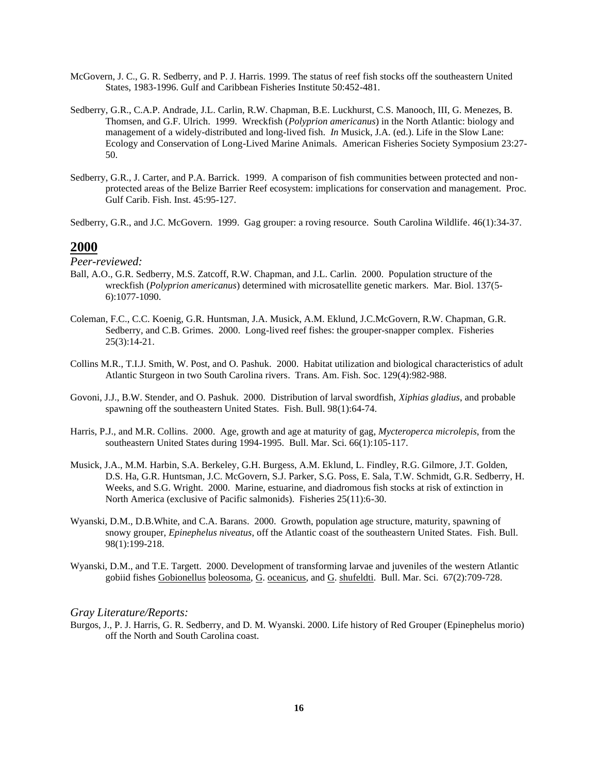- McGovern, J. C., G. R. Sedberry, and P. J. Harris. 1999. The status of reef fish stocks off the southeastern United States, 1983-1996. Gulf and Caribbean Fisheries Institute 50:452-481.
- Sedberry, G.R., C.A.P. Andrade, J.L. Carlin, R.W. Chapman, B.E. Luckhurst, C.S. Manooch, III, G. Menezes, B. Thomsen, and G.F. Ulrich. 1999. Wreckfish (*Polyprion americanus*) in the North Atlantic: biology and management of a widely-distributed and long-lived fish. *In* Musick, J.A. (ed.). Life in the Slow Lane: Ecology and Conservation of Long-Lived Marine Animals. American Fisheries Society Symposium 23:27- 50.
- Sedberry, G.R., J. Carter, and P.A. Barrick. 1999. A comparison of fish communities between protected and nonprotected areas of the Belize Barrier Reef ecosystem: implications for conservation and management. Proc. Gulf Carib. Fish. Inst. 45:95-127.
- Sedberry, G.R., and J.C. McGovern. 1999. Gag grouper: a roving resource. South Carolina Wildlife. 46(1):34-37.

*Peer-reviewed:*

- Ball, A.O., G.R. Sedberry, M.S. Zatcoff, R.W. Chapman, and J.L. Carlin. 2000. Population structure of the wreckfish (*Polyprion americanus*) determined with microsatellite genetic markers. Mar. Biol. 137(5- 6):1077-1090.
- Coleman, F.C., C.C. Koenig, G.R. Huntsman, J.A. Musick, A.M. Eklund, J.C.McGovern, R.W. Chapman, G.R. Sedberry, and C.B. Grimes. 2000. Long-lived reef fishes: the grouper-snapper complex. Fisheries 25(3):14-21.
- Collins M.R., T.I.J. Smith, W. Post, and O. Pashuk. 2000. Habitat utilization and biological characteristics of adult Atlantic Sturgeon in two South Carolina rivers. Trans. Am. Fish. Soc. 129(4):982-988.
- Govoni, J.J., B.W. Stender, and O. Pashuk. 2000. Distribution of larval swordfish, *Xiphias gladius*, and probable spawning off the southeastern United States. Fish. Bull. 98(1):64-74.
- Harris, P.J., and M.R. Collins. 2000. Age, growth and age at maturity of gag, *Mycteroperca microlepis*, from the southeastern United States during 1994-1995. Bull. Mar. Sci. 66(1):105-117.
- Musick, J.A., M.M. Harbin, S.A. Berkeley, G.H. Burgess, A.M. Eklund, L. Findley, R.G. Gilmore, J.T. Golden, D.S. Ha, G.R. Huntsman, J.C. McGovern, S.J. Parker, S.G. Poss, E. Sala, T.W. Schmidt, G.R. Sedberry, H. Weeks, and S.G. Wright. 2000. Marine, estuarine, and diadromous fish stocks at risk of extinction in North America (exclusive of Pacific salmonids). Fisheries 25(11):6-30.
- Wyanski, D.M., D.B.White, and C.A. Barans. 2000. Growth, population age structure, maturity, spawning of snowy grouper, *Epinephelus niveatus*, off the Atlantic coast of the southeastern United States. Fish. Bull. 98(1):199-218.
- Wyanski, D.M., and T.E. Targett. 2000. Development of transforming larvae and juveniles of the western Atlantic gobiid fishes Gobionellus boleosoma, G. oceanicus, and G. shufeldti. Bull. Mar. Sci. 67(2):709-728.

#### *Gray Literature/Reports:*

Burgos, J., P. J. Harris, G. R. Sedberry, and D. M. Wyanski. 2000. Life history of Red Grouper (Epinephelus morio) off the North and South Carolina coast.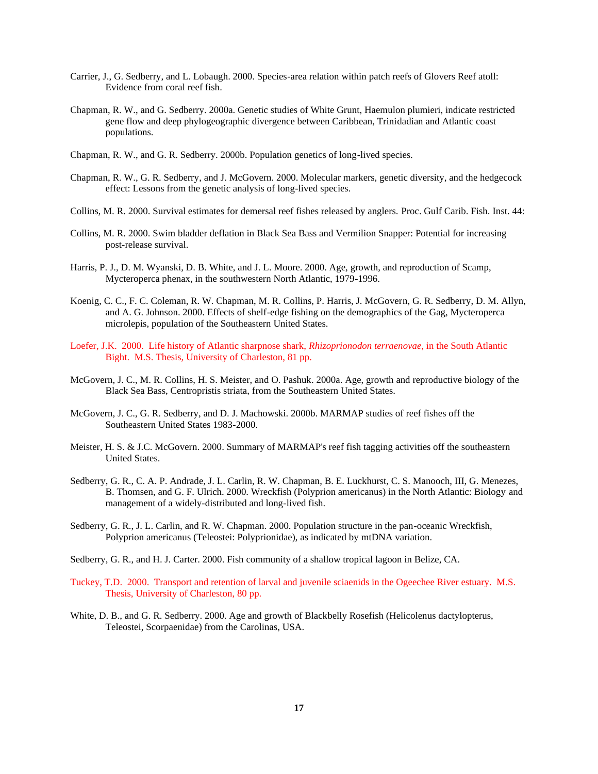- Carrier, J., G. Sedberry, and L. Lobaugh. 2000. Species-area relation within patch reefs of Glovers Reef atoll: Evidence from coral reef fish.
- Chapman, R. W., and G. Sedberry. 2000a. Genetic studies of White Grunt, Haemulon plumieri, indicate restricted gene flow and deep phylogeographic divergence between Caribbean, Trinidadian and Atlantic coast populations.
- Chapman, R. W., and G. R. Sedberry. 2000b. Population genetics of long-lived species.
- Chapman, R. W., G. R. Sedberry, and J. McGovern. 2000. Molecular markers, genetic diversity, and the hedgecock effect: Lessons from the genetic analysis of long-lived species.
- Collins, M. R. 2000. Survival estimates for demersal reef fishes released by anglers. Proc. Gulf Carib. Fish. Inst. 44:
- Collins, M. R. 2000. Swim bladder deflation in Black Sea Bass and Vermilion Snapper: Potential for increasing post-release survival.
- Harris, P. J., D. M. Wyanski, D. B. White, and J. L. Moore. 2000. Age, growth, and reproduction of Scamp, Mycteroperca phenax, in the southwestern North Atlantic, 1979-1996.
- Koenig, C. C., F. C. Coleman, R. W. Chapman, M. R. Collins, P. Harris, J. McGovern, G. R. Sedberry, D. M. Allyn, and A. G. Johnson. 2000. Effects of shelf-edge fishing on the demographics of the Gag, Mycteroperca microlepis, population of the Southeastern United States.
- Loefer, J.K. 2000. Life history of Atlantic sharpnose shark, *Rhizoprionodon terraenovae*, in the South Atlantic Bight. M.S. Thesis, University of Charleston, 81 pp.
- McGovern, J. C., M. R. Collins, H. S. Meister, and O. Pashuk. 2000a. Age, growth and reproductive biology of the Black Sea Bass, Centropristis striata, from the Southeastern United States.
- McGovern, J. C., G. R. Sedberry, and D. J. Machowski. 2000b. MARMAP studies of reef fishes off the Southeastern United States 1983-2000.
- Meister, H. S. & J.C. McGovern. 2000. Summary of MARMAP's reef fish tagging activities off the southeastern United States.
- Sedberry, G. R., C. A. P. Andrade, J. L. Carlin, R. W. Chapman, B. E. Luckhurst, C. S. Manooch, III, G. Menezes, B. Thomsen, and G. F. Ulrich. 2000. Wreckfish (Polyprion americanus) in the North Atlantic: Biology and management of a widely-distributed and long-lived fish.
- Sedberry, G. R., J. L. Carlin, and R. W. Chapman. 2000. Population structure in the pan-oceanic Wreckfish, Polyprion americanus (Teleostei: Polyprionidae), as indicated by mtDNA variation.
- Sedberry, G. R., and H. J. Carter. 2000. Fish community of a shallow tropical lagoon in Belize, CA.
- Tuckey, T.D. 2000. Transport and retention of larval and juvenile sciaenids in the Ogeechee River estuary. M.S. Thesis, University of Charleston, 80 pp.
- White, D. B., and G. R. Sedberry. 2000. Age and growth of Blackbelly Rosefish (Helicolenus dactylopterus, Teleostei, Scorpaenidae) from the Carolinas, USA.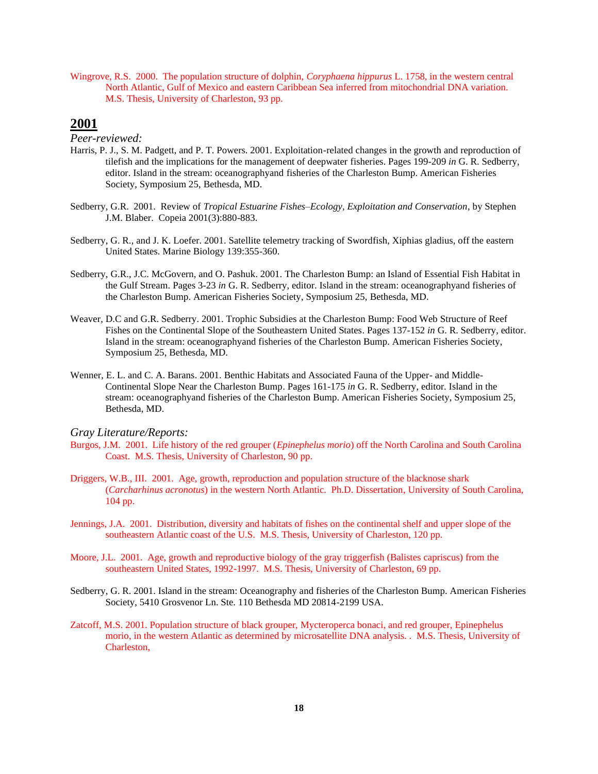Wingrove, R.S. 2000. The population structure of dolphin, *Coryphaena hippurus* L. 1758, in the western central North Atlantic, Gulf of Mexico and eastern Caribbean Sea inferred from mitochondrial DNA variation. M.S. Thesis, University of Charleston, 93 pp.

## **2001**

*Peer-reviewed:*

- Harris, P. J., S. M. Padgett, and P. T. Powers. 2001. Exploitation-related changes in the growth and reproduction of tilefish and the implications for the management of deepwater fisheries. Pages 199-209 *in* G. R. Sedberry, editor. Island in the stream: oceanographyand fisheries of the Charleston Bump. American Fisheries Society, Symposium 25, Bethesda, MD.
- Sedberry, G.R. 2001. Review of *Tropical Estuarine Fishes–Ecology, Exploitation and Conservation*, by Stephen J.M. Blaber. Copeia 2001(3):880-883.
- Sedberry, G. R., and J. K. Loefer. 2001. Satellite telemetry tracking of Swordfish, Xiphias gladius, off the eastern United States. Marine Biology 139:355-360.
- Sedberry, G.R., J.C. McGovern, and O. Pashuk. 2001. The Charleston Bump: an Island of Essential Fish Habitat in the Gulf Stream. Pages 3-23 *in* G. R. Sedberry, editor. Island in the stream: oceanographyand fisheries of the Charleston Bump. American Fisheries Society, Symposium 25, Bethesda, MD.
- Weaver, D.C and G.R. Sedberry. 2001. Trophic Subsidies at the Charleston Bump: Food Web Structure of Reef Fishes on the Continental Slope of the Southeastern United States. Pages 137-152 *in* G. R. Sedberry, editor. Island in the stream: oceanographyand fisheries of the Charleston Bump. American Fisheries Society, Symposium 25, Bethesda, MD.
- Wenner, E. L. and C. A. Barans. 2001. Benthic Habitats and Associated Fauna of the Upper- and Middle-Continental Slope Near the Charleston Bump. Pages 161-175 *in* G. R. Sedberry, editor. Island in the stream: oceanographyand fisheries of the Charleston Bump. American Fisheries Society, Symposium 25, Bethesda, MD.

- Burgos, J.M. 2001. Life history of the red grouper (*Epinephelus morio*) off the North Carolina and South Carolina Coast. M.S. Thesis, University of Charleston, 90 pp.
- Driggers, W.B., III. 2001. Age, growth, reproduction and population structure of the blacknose shark (*Carcharhinus acronotus*) in the western North Atlantic. Ph.D. Dissertation, University of South Carolina, 104 pp.
- Jennings, J.A. 2001. Distribution, diversity and habitats of fishes on the continental shelf and upper slope of the southeastern Atlantic coast of the U.S. M.S. Thesis, University of Charleston, 120 pp.
- Moore, J.L. 2001. Age, growth and reproductive biology of the gray triggerfish (Balistes capriscus) from the southeastern United States, 1992-1997. M.S. Thesis, University of Charleston, 69 pp.
- Sedberry, G. R. 2001. Island in the stream: Oceanography and fisheries of the Charleston Bump. American Fisheries Society, 5410 Grosvenor Ln. Ste. 110 Bethesda MD 20814-2199 USA.
- Zatcoff, M.S. 2001. Population structure of black grouper, Mycteroperca bonaci, and red grouper, Epinephelus morio, in the western Atlantic as determined by microsatellite DNA analysis. . M.S. Thesis, University of Charleston,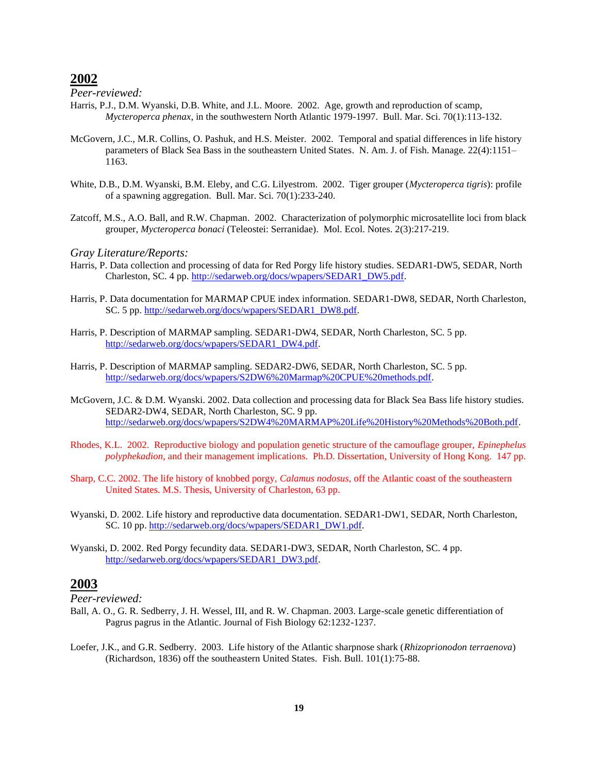*Peer-reviewed:*

- Harris, P.J., D.M. Wyanski, D.B. White, and J.L. Moore. 2002. Age, growth and reproduction of scamp, *Mycteroperca phenax*, in the southwestern North Atlantic 1979-1997. Bull. Mar. Sci. 70(1):113-132.
- McGovern, J.C., M.R. Collins, O. Pashuk, and H.S. Meister. 2002. Temporal and spatial differences in life history parameters of Black Sea Bass in the southeastern United States. N. Am. J. of Fish. Manage. 22(4):1151– 1163.
- White, D.B., D.M. Wyanski, B.M. Eleby, and C.G. Lilyestrom. 2002. Tiger grouper (*Mycteroperca tigris*): profile of a spawning aggregation. Bull. Mar. Sci. 70(1):233-240.
- Zatcoff, M.S., A.O. Ball, and R.W. Chapman. 2002. Characterization of polymorphic microsatellite loci from black grouper, *Mycteroperca bonaci* (Teleostei: Serranidae). Mol. Ecol. Notes. 2(3):217-219.

#### *Gray Literature/Reports:*

- Harris, P. Data collection and processing of data for Red Porgy life history studies. SEDAR1-DW5, SEDAR, North Charleston, SC. 4 pp. [http://sedarweb.org/docs/wpapers/SEDAR1\\_DW5.pdf.](http://sedarweb.org/docs/wpapers/SEDAR1_DW5.pdf)
- Harris, P. Data documentation for MARMAP CPUE index information. SEDAR1-DW8, SEDAR, North Charleston, SC. 5 pp[. http://sedarweb.org/docs/wpapers/SEDAR1\\_DW8.pdf.](http://sedarweb.org/docs/wpapers/SEDAR1_DW8.pdf)
- Harris, P. Description of MARMAP sampling. SEDAR1-DW4, SEDAR, North Charleston, SC. 5 pp. [http://sedarweb.org/docs/wpapers/SEDAR1\\_DW4.pdf.](http://sedarweb.org/docs/wpapers/SEDAR1_DW4.pdf)
- Harris, P. Description of MARMAP sampling. SEDAR2-DW6, SEDAR, North Charleston, SC. 5 pp. [http://sedarweb.org/docs/wpapers/S2DW6%20Marmap%20CPUE%20methods.pdf.](http://sedarweb.org/docs/wpapers/S2DW6%20Marmap%20CPUE%20methods.pdf)
- McGovern, J.C. & D.M. Wyanski. 2002. Data collection and processing data for Black Sea Bass life history studies. SEDAR2-DW4, SEDAR, North Charleston, SC. 9 pp. [http://sedarweb.org/docs/wpapers/S2DW4%20MARMAP%20Life%20History%20Methods%20Both.pdf.](http://sedarweb.org/docs/wpapers/S2DW4%20MARMAP%20Life%20History%20Methods%20Both.pdf)
- Rhodes, K.L. 2002. Reproductive biology and population genetic structure of the camouflage grouper, *Epinephelus polyphekadion*, and their management implications. Ph.D. Dissertation, University of Hong Kong. 147 pp.
- Sharp, C.C. 2002. The life history of knobbed porgy, *Calamus nodosus*, off the Atlantic coast of the southeastern United States. M.S. Thesis, University of Charleston, 63 pp.
- Wyanski, D. 2002. Life history and reproductive data documentation. SEDAR1-DW1, SEDAR, North Charleston, SC. 10 pp. [http://sedarweb.org/docs/wpapers/SEDAR1\\_DW1.pdf.](http://sedarweb.org/docs/wpapers/SEDAR1_DW1.pdf)
- Wyanski, D. 2002. Red Porgy fecundity data. SEDAR1-DW3, SEDAR, North Charleston, SC. 4 pp. [http://sedarweb.org/docs/wpapers/SEDAR1\\_DW3.pdf.](http://sedarweb.org/docs/wpapers/SEDAR1_DW3.pdf)

## **2003**

- Ball, A. O., G. R. Sedberry, J. H. Wessel, III, and R. W. Chapman. 2003. Large-scale genetic differentiation of Pagrus pagrus in the Atlantic. Journal of Fish Biology 62:1232-1237.
- Loefer, J.K., and G.R. Sedberry. 2003. Life history of the Atlantic sharpnose shark (*Rhizoprionodon terraenova*) (Richardson, 1836) off the southeastern United States*.* Fish. Bull. 101(1):75-88.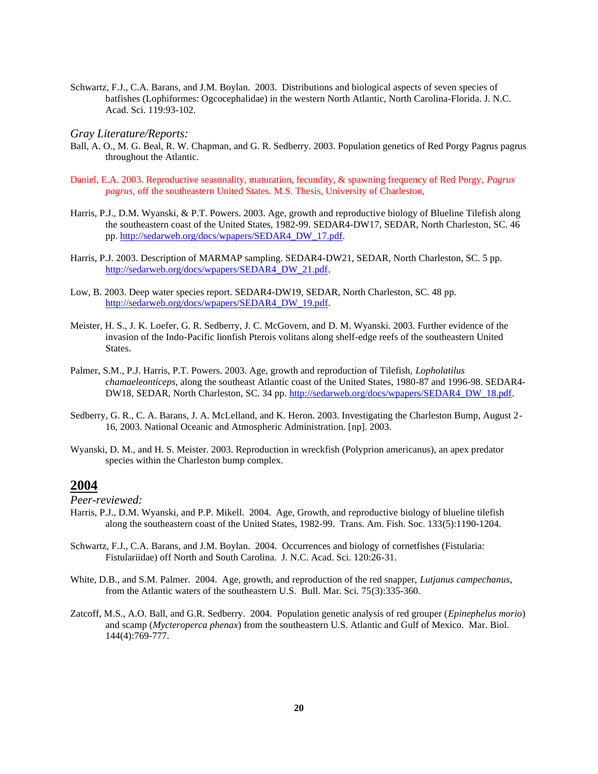Schwartz, F.J., C.A. Barans, and J.M. Boylan. 2003. Distributions and biological aspects of seven species of batfishes (Lophiformes: Ogcocephalidae) in the western North Atlantic, North Carolina-Florida. J. N.C. Acad. Sci. 119:93-102.

#### *Gray Literature/Reports:*

- Ball, A. O., M. G. Beal, R. W. Chapman, and G. R. Sedberry. 2003. Population genetics of Red Porgy Pagrus pagrus throughout the Atlantic.
- Daniel, E.A. 2003. Reproductive seasonality, maturation, fecundity, & spawning frequency of Red Porgy, *Pagrus pagrus*, off the southeastern United States. M.S. Thesis, University of Charleston,
- Harris, P.J., D.M. Wyanski, & P.T. Powers. 2003. Age, growth and reproductive biology of Blueline Tilefish along the southeastern coast of the United States, 1982-99. SEDAR4-DW17, SEDAR, North Charleston, SC. 46 pp. [http://sedarweb.org/docs/wpapers/SEDAR4\\_DW\\_17.pdf.](http://sedarweb.org/docs/wpapers/SEDAR4_DW_17.pdf)
- Harris, P.J. 2003. Description of MARMAP sampling. SEDAR4-DW21, SEDAR, North Charleston, SC. 5 pp. [http://sedarweb.org/docs/wpapers/SEDAR4\\_DW\\_21.pdf.](http://sedarweb.org/docs/wpapers/SEDAR4_DW_21.pdf)
- Low, B. 2003. Deep water species report. SEDAR4-DW19, SEDAR, North Charleston, SC. 48 pp. [http://sedarweb.org/docs/wpapers/SEDAR4\\_DW\\_19.pdf.](http://sedarweb.org/docs/wpapers/SEDAR4_DW_19.pdf)
- Meister, H. S., J. K. Loefer, G. R. Sedberry, J. C. McGovern, and D. M. Wyanski. 2003. Further evidence of the invasion of the Indo-Pacific lionfish Pterois volitans along shelf-edge reefs of the southeastern United States.
- Palmer, S.M., P.J. Harris, P.T. Powers. 2003. Age, growth and reproduction of Tilefish, *Lopholatilus chamaeleonticeps*, along the southeast Atlantic coast of the United States, 1980-87 and 1996-98. SEDAR4 DW18, SEDAR, North Charleston, SC. 34 pp. [http://sedarweb.org/docs/wpapers/SEDAR4\\_DW\\_18.pdf.](http://sedarweb.org/docs/wpapers/SEDAR4_DW_18.pdf)
- Sedberry, G. R., C. A. Barans, J. A. McLelland, and K. Heron. 2003. Investigating the Charleston Bump, August 2- 16, 2003. National Oceanic and Atmospheric Administration. [np]. 2003.
- Wyanski, D. M., and H. S. Meister. 2003. Reproduction in wreckfish (Polyprion americanus), an apex predator species within the Charleston bump complex.

# **2004**

- Harris, P.J., D.M. Wyanski, and P.P. Mikell. 2004. Age, Growth, and reproductive biology of blueline tilefish along the southeastern coast of the United States, 1982-99. Trans. Am. Fish. Soc. 133(5):1190-1204.
- Schwartz, F.J., C.A. Barans, and J.M. Boylan. 2004. Occurrences and biology of cornetfishes (Fistularia: Fistulariidae) off North and South Carolina. J. N.C. Acad. Sci. 120:26-31.
- White, D.B., and S.M. Palmer. 2004. Age, growth, and reproduction of the red snapper, *Lutjanus campechanus*, from the Atlantic waters of the southeastern U.S. Bull. Mar. Sci. 75(3):335-360.
- Zatcoff, M.S., A.O. Ball, and G.R. Sedberry. 2004. Population genetic analysis of red grouper (*Epinephelus morio*) and scamp (*Mycteroperca phenax*) from the southeastern U.S. Atlantic and Gulf of Mexico. Mar. Biol. 144(4):769-777.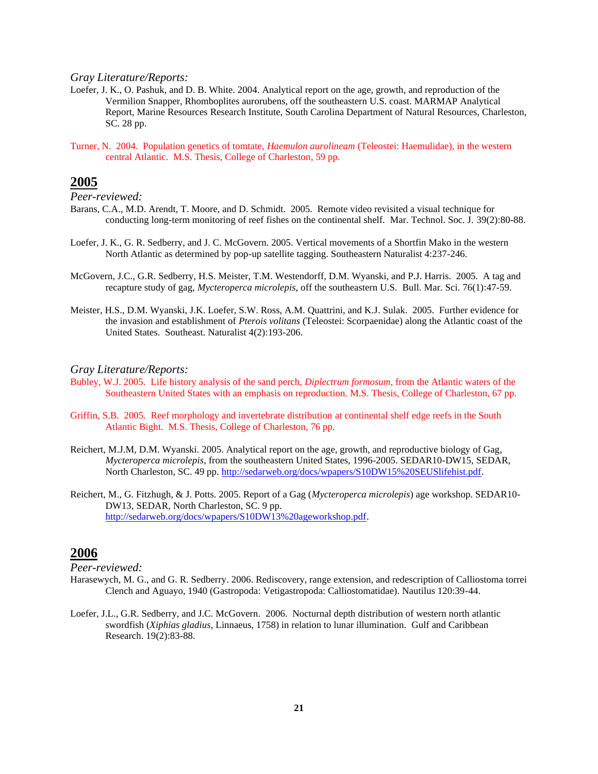- Loefer, J. K., O. Pashuk, and D. B. White. 2004. Analytical report on the age, growth, and reproduction of the Vermilion Snapper, Rhomboplites aurorubens, off the southeastern U.S. coast. MARMAP Analytical Report, Marine Resources Research Institute, South Carolina Department of Natural Resources, Charleston, SC. 28 pp.
- Turner, N. 2004. Population genetics of tomtate, *Haemulon aurolineam* (Teleostei: Haemulidae), in the western central Atlantic. M.S. Thesis, College of Charleston, 59 pp.

## **2005**

*Peer-reviewed:*

- Barans, C.A., M.D. Arendt, T. Moore, and D. Schmidt. 2005. Remote video revisited a visual technique for conducting long-term monitoring of reef fishes on the continental shelf. Mar. Technol. Soc. J. 39(2):80-88.
- Loefer, J. K., G. R. Sedberry, and J. C. McGovern. 2005. Vertical movements of a Shortfin Mako in the western North Atlantic as determined by pop-up satellite tagging. Southeastern Naturalist 4:237-246.
- McGovern, J.C., G.R. Sedberry, H.S. Meister, T.M. Westendorff, D.M. Wyanski, and P.J. Harris. 2005. A tag and recapture study of gag, *Mycteroperca microlepis*, off the southeastern U.S. Bull. Mar. Sci. 76(1):47-59.
- Meister, H.S., D.M. Wyanski, J.K. Loefer, S.W. Ross, A.M. Quattrini, and K.J. Sulak. 2005. Further evidence for the invasion and establishment of *Pterois volitans* (Teleostei: Scorpaenidae) along the Atlantic coast of the United States. Southeast. Naturalist 4(2):193-206.

#### *Gray Literature/Reports:*

- Bubley, W.J. 2005. Life history analysis of the sand perch, *Diplectrum formosum*, from the Atlantic waters of the Southeastern United States with an emphasis on reproduction. M.S. Thesis, College of Charleston, 67 pp.
- Griffin, S.B. 2005. Reef morphology and invertebrate distribution at continental shelf edge reefs in the South Atlantic Bight. M.S. Thesis, College of Charleston, 76 pp.
- Reichert, M.J.M, D.M. Wyanski. 2005. Analytical report on the age, growth, and reproductive biology of Gag, *Mycteroperca microlepis*, from the southeastern United States, 1996-2005. SEDAR10-DW15, SEDAR, North Charleston, SC. 49 pp. [http://sedarweb.org/docs/wpapers/S10DW15%20SEUSlifehist.pdf.](http://sedarweb.org/docs/wpapers/S10DW15%20SEUSlifehist.pdf)
- Reichert, M., G. Fitzhugh, & J. Potts. 2005. Report of a Gag (*Mycteroperca microlepis*) age workshop. SEDAR10- DW13, SEDAR, North Charleston, SC. 9 pp. [http://sedarweb.org/docs/wpapers/S10DW13%20ageworkshop.pdf.](http://sedarweb.org/docs/wpapers/S10DW13%20ageworkshop.pdf)

### **2006**

- Harasewych, M. G., and G. R. Sedberry. 2006. Rediscovery, range extension, and redescription of Calliostoma torrei Clench and Aguayo, 1940 (Gastropoda: Vetigastropoda: Calliostomatidae). Nautilus 120:39-44.
- Loefer, J.L., G.R. Sedberry, and J.C. McGovern. 2006. Nocturnal depth distribution of western north atlantic swordfish (*Xiphias gladius*, Linnaeus, 1758) in relation to lunar illumination. Gulf and Caribbean Research. 19(2):83-88.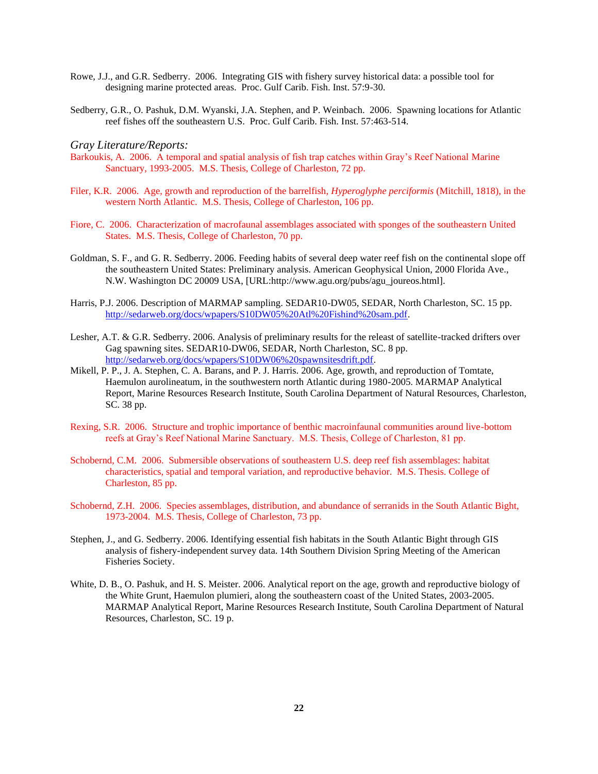- Rowe, J.J., and G.R. Sedberry. 2006. Integrating GIS with fishery survey historical data: a possible tool for designing marine protected areas. Proc. Gulf Carib. Fish. Inst. 57:9-30.
- Sedberry, G.R., O. Pashuk, D.M. Wyanski, J.A. Stephen, and P. Weinbach. 2006. Spawning locations for Atlantic reef fishes off the southeastern U.S. Proc. Gulf Carib. Fish. Inst. 57:463-514.

- Barkoukis, A. 2006. A temporal and spatial analysis of fish trap catches within Gray's Reef National Marine Sanctuary, 1993-2005. M.S. Thesis, College of Charleston, 72 pp.
- Filer, K.R. 2006. Age, growth and reproduction of the barrelfish, *Hyperoglyphe perciformis* (Mitchill, 1818), in the western North Atlantic. M.S. Thesis, College of Charleston, 106 pp.
- Fiore, C. 2006. Characterization of macrofaunal assemblages associated with sponges of the southeastern United States. M.S. Thesis, College of Charleston, 70 pp.
- Goldman, S. F., and G. R. Sedberry. 2006. Feeding habits of several deep water reef fish on the continental slope off the southeastern United States: Preliminary analysis. American Geophysical Union, 2000 Florida Ave., N.W. Washington DC 20009 USA, [URL:http://www.agu.org/pubs/agu\_joureos.html].
- Harris, P.J. 2006. Description of MARMAP sampling. SEDAR10-DW05, SEDAR, North Charleston, SC. 15 pp. [http://sedarweb.org/docs/wpapers/S10DW05%20Atl%20Fishind%20sam.pdf.](http://sedarweb.org/docs/wpapers/S10DW05%20Atl%20Fishind%20sam.pdf)
- Lesher, A.T. & G.R. Sedberry. 2006. Analysis of preliminary results for the releast of satellite-tracked drifters over Gag spawning sites. SEDAR10-DW06, SEDAR, North Charleston, SC. 8 pp. [http://sedarweb.org/docs/wpapers/S10DW06%20spawnsitesdrift.pdf.](http://sedarweb.org/docs/wpapers/S10DW06%20spawnsitesdrift.pdf)
- Mikell, P. P., J. A. Stephen, C. A. Barans, and P. J. Harris. 2006. Age, growth, and reproduction of Tomtate, Haemulon aurolineatum, in the southwestern north Atlantic during 1980-2005. MARMAP Analytical Report, Marine Resources Research Institute, South Carolina Department of Natural Resources, Charleston, SC. 38 pp.
- Rexing, S.R. 2006. Structure and trophic importance of benthic macroinfaunal communities around live-bottom reefs at Gray's Reef National Marine Sanctuary. M.S. Thesis, College of Charleston, 81 pp.
- Schobernd, C.M. 2006. Submersible observations of southeastern U.S. deep reef fish assemblages: habitat characteristics, spatial and temporal variation, and reproductive behavior. M.S. Thesis. College of Charleston, 85 pp.
- Schobernd, Z.H. 2006. Species assemblages, distribution, and abundance of serranids in the South Atlantic Bight, 1973-2004. M.S. Thesis, College of Charleston, 73 pp.
- Stephen, J., and G. Sedberry. 2006. Identifying essential fish habitats in the South Atlantic Bight through GIS analysis of fishery-independent survey data. 14th Southern Division Spring Meeting of the American Fisheries Society.
- White, D. B., O. Pashuk, and H. S. Meister. 2006. Analytical report on the age, growth and reproductive biology of the White Grunt, Haemulon plumieri, along the southeastern coast of the United States, 2003-2005. MARMAP Analytical Report, Marine Resources Research Institute, South Carolina Department of Natural Resources, Charleston, SC. 19 p.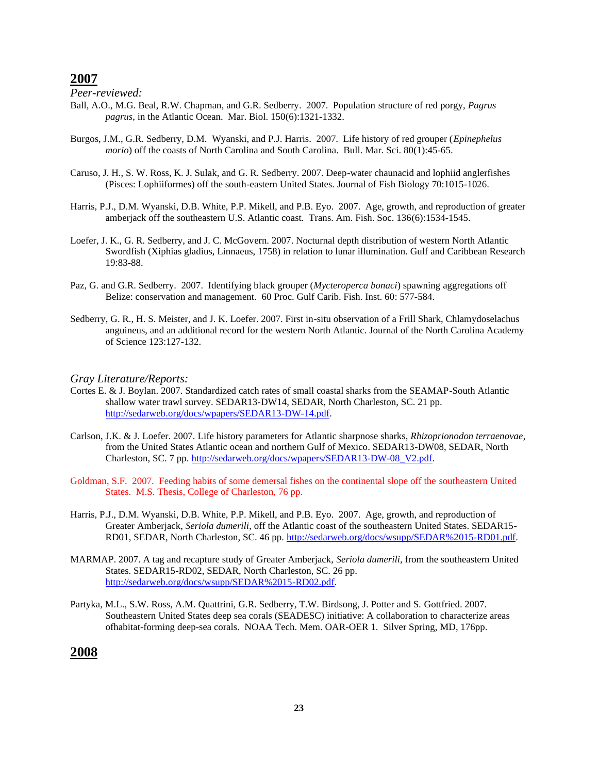*Peer-reviewed:*

- Ball, A.O., M.G. Beal, R.W. Chapman, and G.R. Sedberry. 2007. Population structure of red porgy, *Pagrus pagrus*, in the Atlantic Ocean. Mar. Biol. 150(6):1321-1332.
- Burgos, J.M., G.R. Sedberry, D.M. Wyanski, and P.J. Harris. 2007. Life history of red grouper (*Epinephelus morio*) off the coasts of North Carolina and South Carolina. Bull. Mar. Sci. 80(1):45-65.
- Caruso, J. H., S. W. Ross, K. J. Sulak, and G. R. Sedberry. 2007. Deep-water chaunacid and lophiid anglerfishes (Pisces: Lophiiformes) off the south-eastern United States. Journal of Fish Biology 70:1015-1026.
- Harris, P.J., D.M. Wyanski, D.B. White, P.P. Mikell, and P.B. Eyo. 2007. Age, growth, and reproduction of greater amberjack off the southeastern U.S. Atlantic coast. Trans. Am. Fish. Soc. 136(6):1534-1545.
- Loefer, J. K., G. R. Sedberry, and J. C. McGovern. 2007. Nocturnal depth distribution of western North Atlantic Swordfish (Xiphias gladius, Linnaeus, 1758) in relation to lunar illumination. Gulf and Caribbean Research 19:83-88.
- Paz, G. and G.R. Sedberry. 2007. Identifying black grouper (*Mycteroperca bonaci*) spawning aggregations off Belize: conservation and management. 60 Proc. Gulf Carib. Fish. Inst. 60: 577-584.
- Sedberry, G. R., H. S. Meister, and J. K. Loefer. 2007. First in-situ observation of a Frill Shark, Chlamydoselachus anguineus, and an additional record for the western North Atlantic. Journal of the North Carolina Academy of Science 123:127-132.

#### *Gray Literature/Reports:*

- Cortes E. & J. Boylan. 2007. Standardized catch rates of small coastal sharks from the SEAMAP-South Atlantic shallow water trawl survey. SEDAR13-DW14, SEDAR, North Charleston, SC. 21 pp. [http://sedarweb.org/docs/wpapers/SEDAR13-DW-14.pdf.](http://sedarweb.org/docs/wpapers/SEDAR13-DW-14.pdf)
- Carlson, J.K. & J. Loefer. 2007. Life history parameters for Atlantic sharpnose sharks, *Rhizoprionodon terraenovae*, from the United States Atlantic ocean and northern Gulf of Mexico. SEDAR13-DW08, SEDAR, North Charleston, SC. 7 pp. [http://sedarweb.org/docs/wpapers/SEDAR13-DW-08\\_V2.pdf.](http://sedarweb.org/docs/wpapers/SEDAR13-DW-08_V2.pdf)
- Goldman, S.F. 2007. Feeding habits of some demersal fishes on the continental slope off the southeastern United States. M.S. Thesis, College of Charleston, 76 pp.
- Harris, P.J., D.M. Wyanski, D.B. White, P.P. Mikell, and P.B. Eyo. 2007. Age, growth, and reproduction of Greater Amberjack, *Seriola dumerili*, off the Atlantic coast of the southeastern United States. SEDAR15- RD01, SEDAR, North Charleston, SC. 46 pp. [http://sedarweb.org/docs/wsupp/SEDAR%2015-RD01.pdf.](http://sedarweb.org/docs/wsupp/SEDAR%2015-RD01.pdf)
- MARMAP. 2007. A tag and recapture study of Greater Amberjack, *Seriola dumerili*, from the southeastern United States. SEDAR15-RD02, SEDAR, North Charleston, SC. 26 pp. [http://sedarweb.org/docs/wsupp/SEDAR%2015-RD02.pdf.](http://sedarweb.org/docs/wsupp/SEDAR%2015-RD02.pdf)
- Partyka, M.L., S.W. Ross, A.M. Quattrini, G.R. Sedberry, T.W. Birdsong, J. Potter and S. Gottfried. 2007. Southeastern United States deep sea corals (SEADESC) initiative: A collaboration to characterize areas ofhabitat-forming deep-sea corals. NOAA Tech. Mem. OAR-OER 1. Silver Spring, MD, 176pp.

## **2008**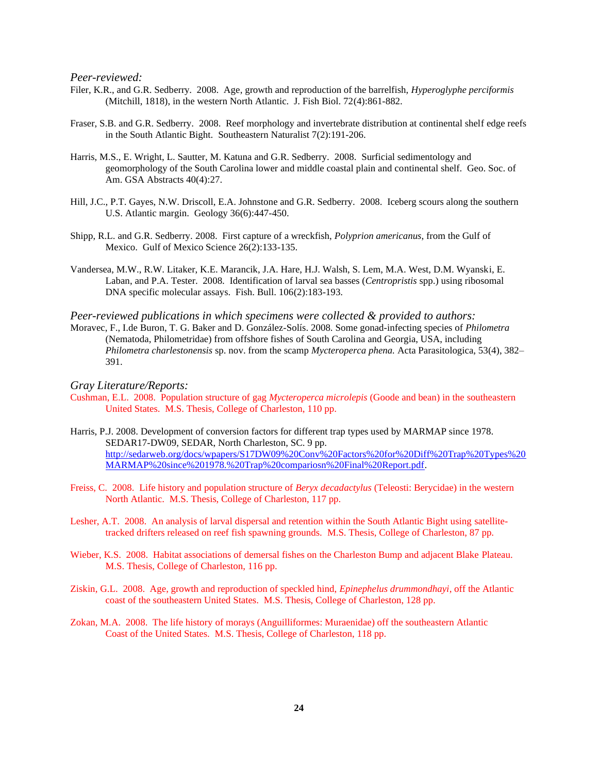*Peer-reviewed:*

- Filer, K.R., and G.R. Sedberry. 2008. Age, growth and reproduction of the barrelfish, *Hyperoglyphe perciformis* (Mitchill, 1818), in the western North Atlantic. J. Fish Biol. 72(4):861-882.
- Fraser, S.B. and G.R. Sedberry. 2008. Reef morphology and invertebrate distribution at continental shelf edge reefs in the South Atlantic Bight. Southeastern Naturalist 7(2):191-206.
- Harris, M.S., E. Wright, L. Sautter, M. Katuna and G.R. Sedberry. 2008. Surficial sedimentology and geomorphology of the South Carolina lower and middle coastal plain and continental shelf. Geo. Soc. of Am. GSA Abstracts 40(4):27.
- Hill, J.C., P.T. Gayes, N.W. Driscoll, E.A. Johnstone and G.R. Sedberry. 2008. Iceberg scours along the southern U.S. Atlantic margin. Geology 36(6):447-450.
- Shipp, R.L. and G.R. Sedberry. 2008. First capture of a wreckfish, *Polyprion americanus*, from the Gulf of Mexico. Gulf of Mexico Science 26(2):133-135.
- Vandersea, M.W., R.W. Litaker, K.E. Marancik, J.A. Hare, H.J. Walsh, S. Lem, M.A. West, D.M. Wyanski, E. Laban, and P.A. Tester. 2008. Identification of larval sea basses (*Centropristis* spp.) using ribosomal DNA specific molecular assays. Fish. Bull. 106(2):183-193.

*Peer-reviewed publications in which specimens were collected & provided to authors:*

Moravec, F., I.de Buron, T. G. Baker and D. González-Solís. 2008. Some gonad-infecting species of *Philometra* (Nematoda, Philometridae) from offshore fishes of South Carolina and Georgia, USA, including *Philometra charlestonensis* sp. nov. from the scamp *Mycteroperca phena.* Acta Parasitologica, 53(4), 382– 391.

- Cushman, E.L. 2008. Population structure of gag *Mycteroperca microlepis* (Goode and bean) in the southeastern United States. M.S. Thesis, College of Charleston, 110 pp.
- Harris, P.J. 2008. Development of conversion factors for different trap types used by MARMAP since 1978. SEDAR17-DW09, SEDAR, North Charleston, SC. 9 pp. [http://sedarweb.org/docs/wpapers/S17DW09%20Conv%20Factors%20for%20Diff%20Trap%20Types%20](http://sedarweb.org/docs/wpapers/S17DW09%20Conv%20Factors%20for%20Diff%20Trap%20Types%20MARMAP%20since%201978.%20Trap%20compariosn%20Final%20Report.pdf) [MARMAP%20since%201978.%20Trap%20compariosn%20Final%20Report.pdf.](http://sedarweb.org/docs/wpapers/S17DW09%20Conv%20Factors%20for%20Diff%20Trap%20Types%20MARMAP%20since%201978.%20Trap%20compariosn%20Final%20Report.pdf)
- Freiss, C. 2008. Life history and population structure of *Beryx decadactylus* (Teleosti: Berycidae) in the western North Atlantic. M.S. Thesis, College of Charleston, 117 pp.
- Lesher, A.T. 2008. An analysis of larval dispersal and retention within the South Atlantic Bight using satellitetracked drifters released on reef fish spawning grounds. M.S. Thesis, College of Charleston, 87 pp.
- Wieber, K.S. 2008. Habitat associations of demersal fishes on the Charleston Bump and adjacent Blake Plateau. M.S. Thesis, College of Charleston, 116 pp.
- Ziskin, G.L. 2008. Age, growth and reproduction of speckled hind, *Epinephelus drummondhayi*, off the Atlantic coast of the southeastern United States. M.S. Thesis, College of Charleston, 128 pp.
- Zokan, M.A. 2008. The life history of morays (Anguilliformes: Muraenidae) off the southeastern Atlantic Coast of the United States. M.S. Thesis, College of Charleston, 118 pp.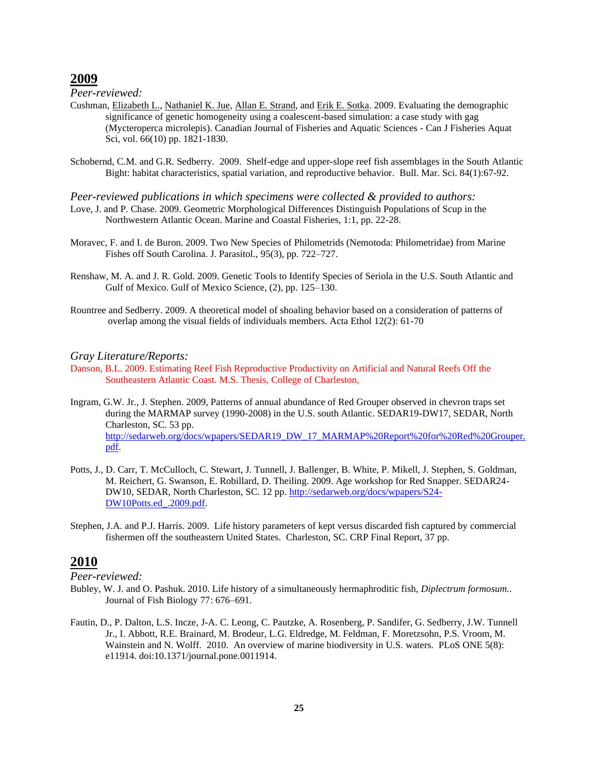*Peer-reviewed:*

- Cushman, [Elizabeth L.,](http://academic.research.microsoft.com/Author/34625874/elizabeth-l-cushman) [Nathaniel K. Jue,](http://academic.research.microsoft.com/Author/34625875/nathaniel-k-jue) [Allan E. Strand,](http://academic.research.microsoft.com/Author/42369200/allan-e-strand) and [Erik E. Sotka.](http://academic.research.microsoft.com/Author/23558377/erik-e-sotka) 2009. Evaluating the demographic significance of genetic homogeneity using a coalescent-based simulation: a case study with gag (Mycteroperca microlepis). [Canadian Journal of Fisheries and Aquatic Sciences -](http://academic.research.microsoft.com/Journal/8832/can-j-fisheries-aquat-sci-canadian-journal-of-fisheries-and-aquatic-sciences) Can J Fisheries Aquat [Sci,](http://academic.research.microsoft.com/Journal/8832/can-j-fisheries-aquat-sci-canadian-journal-of-fisheries-and-aquatic-sciences) vol. 66(10) pp. 1821-1830.
- Schobernd, C.M. and G.R. Sedberry. 2009. Shelf-edge and upper-slope reef fish assemblages in the South Atlantic Bight: habitat characteristics, spatial variation, and reproductive behavior. Bull. Mar. Sci. 84(1):67-92.
- *Peer-reviewed publications in which specimens were collected & provided to authors:* Love, J. and P. Chase. 2009. Geometric Morphological Differences Distinguish Populations of Scup in the Northwestern Atlantic Ocean. Marine and Coastal Fisheries, 1:1, pp. 22-28.
- Moravec, F. and I. de Buron. 2009. Two New Species of Philometrids (Nemotoda: Philometridae) from Marine Fishes off South Carolina. J. Parasitol., 95(3), pp. 722–727.
- Renshaw, M. A. and J. R. Gold. 2009. Genetic Tools to Identify Species of Seriola in the U.S. South Atlantic and Gulf of Mexico. Gulf of Mexico Science, (2), pp. 125–130.
- Rountree and Sedberry. 2009. A theoretical model of shoaling behavior based on a consideration of patterns of overlap among the visual fields of individuals members. Acta Ethol 12(2): 61-70

#### *Gray Literature/Reports:*

- Danson, B.L. 2009. Estimating Reef Fish Reproductive Productivity on Artificial and Natural Reefs Off the Southeastern Atlantic Coast. M.S. Thesis, College of Charleston,
- Ingram, G.W. Jr., J. Stephen. 2009, Patterns of annual abundance of Red Grouper observed in chevron traps set during the MARMAP survey (1990-2008) in the U.S. south Atlantic. SEDAR19-DW17, SEDAR, North Charleston, SC. 53 pp. [http://sedarweb.org/docs/wpapers/SEDAR19\\_DW\\_17\\_MARMAP%20Report%20for%20Red%20Grouper.](http://sedarweb.org/docs/wpapers/SEDAR19_DW_17_MARMAP%20Report%20for%20Red%20Grouper.pdf) [pdf.](http://sedarweb.org/docs/wpapers/SEDAR19_DW_17_MARMAP%20Report%20for%20Red%20Grouper.pdf)
- Potts, J., D. Carr, T. McCulloch, C. Stewart, J. Tunnell, J. Ballenger, B. White, P. Mikell, J. Stephen, S. Goldman, M. Reichert, G. Swanson, E. Robillard, D. Theiling. 2009. Age workshop for Red Snapper. SEDAR24 DW10, SEDAR, North Charleston, SC. 12 pp. [http://sedarweb.org/docs/wpapers/S24-](http://sedarweb.org/docs/wpapers/S24-DW10Potts.ed_.2009.pdf) [DW10Potts.ed\\_.2009.pdf.](http://sedarweb.org/docs/wpapers/S24-DW10Potts.ed_.2009.pdf)
- Stephen, J.A. and P.J. Harris. 2009. Life history parameters of kept versus discarded fish captured by commercial fishermen off the southeastern United States. Charleston, SC. CRP Final Report, 37 pp.

# **2010**

- Bubley, W. J. and O. Pashuk. 2010. Life history of a simultaneously hermaphroditic fish, *Diplectrum formosum.*. Journal of Fish Biology 77: 676–691.
- Fautin, D., P. Dalton, L.S. Incze, J-A. C. Leong, C. Pautzke, A. Rosenberg, P. Sandifer, G. Sedberry, J.W. Tunnell Jr., I. Abbott, R.E. Brainard, M. Brodeur, L.G. Eldredge, M. Feldman, F. Moretzsohn, P.S. Vroom, M. Wainstein and N. Wolff. 2010. An overview of marine biodiversity in U.S. waters. PLoS ONE 5(8): e11914. doi:10.1371/journal.pone.0011914.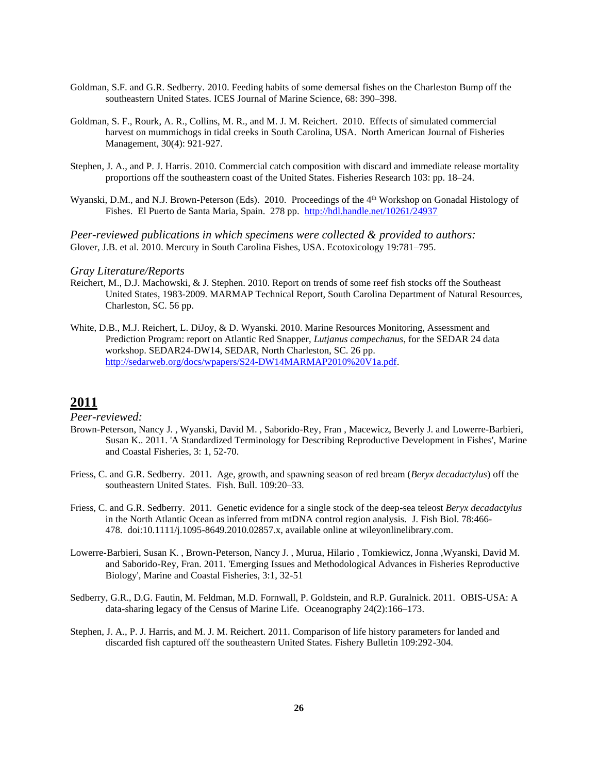- Goldman, S.F. and G.R. Sedberry. 2010. Feeding habits of some demersal fishes on the Charleston Bump off the southeastern United States. ICES Journal of Marine Science, 68: 390–398.
- Goldman, S. F., Rourk, A. R., Collins, M. R., and M. J. M. Reichert. 2010. Effects of simulated commercial harvest on mummichogs in tidal creeks in South Carolina, USA. North American Journal of Fisheries Management, 30(4): 921-927.
- Stephen, J. A., and P. J. Harris. 2010. Commercial catch composition with discard and immediate release mortality proportions off the southeastern coast of the United States. Fisheries Research 103: pp. 18–24.
- Wyanski, D.M., and N.J. Brown-Peterson (Eds). 2010. Proceedings of the 4<sup>th</sup> Workshop on Gonadal Histology of Fishes. El Puerto de Santa Maria, Spain. 278 pp. <http://hdl.handle.net/10261/24937>

*Peer-reviewed publications in which specimens were collected & provided to authors:* Glover, J.B. et al. 2010. Mercury in South Carolina Fishes, USA. Ecotoxicology 19:781–795.

#### *Gray Literature/Reports*

- Reichert, M., D.J. Machowski, & J. Stephen. 2010. Report on trends of some reef fish stocks off the Southeast United States, 1983-2009. MARMAP Technical Report, South Carolina Department of Natural Resources, Charleston, SC. 56 pp.
- White, D.B., M.J. Reichert, L. DiJoy, & D. Wyanski. 2010. Marine Resources Monitoring, Assessment and Prediction Program: report on Atlantic Red Snapper, *Lutjanus campechanus*, for the SEDAR 24 data workshop. SEDAR24-DW14, SEDAR, North Charleston, SC. 26 pp. [http://sedarweb.org/docs/wpapers/S24-DW14MARMAP2010%20V1a.pdf.](http://sedarweb.org/docs/wpapers/S24-DW14MARMAP2010%20V1a.pdf)

# **2011**

- Brown-Peterson, Nancy J. , Wyanski, David M. , Saborido-Rey, Fran , Macewicz, Beverly J. and Lowerre-Barbieri, Susan K.. 2011. 'A Standardized Terminology for Describing Reproductive Development in Fishes', Marine and Coastal Fisheries, 3: 1, 52-70.
- Friess, C. and G.R. Sedberry. 2011. Age, growth, and spawning season of red bream (*Beryx decadactylus*) off the southeastern United States. Fish. Bull. 109:20–33.
- Friess, C. and G.R. Sedberry. 2011. Genetic evidence for a single stock of the deep-sea teleost *Beryx decadactylus* in the North Atlantic Ocean as inferred from mtDNA control region analysis. J. Fish Biol. 78:466- 478. doi:10.1111/j.1095-8649.2010.02857.x, available online at wileyonlinelibrary.com.
- Lowerre-Barbieri, Susan K. , Brown-Peterson, Nancy J. , Murua, Hilario , Tomkiewicz, Jonna ,Wyanski, David M. and Saborido-Rey, Fran. 2011. 'Emerging Issues and Methodological Advances in Fisheries Reproductive Biology', Marine and Coastal Fisheries, 3:1, 32-51
- Sedberry, G.R., D.G. Fautin, M. Feldman, M.D. Fornwall, P. Goldstein, and R.P. Guralnick. 2011. OBIS-USA: A data-sharing legacy of the Census of Marine Life. Oceanography 24(2):166–173.
- Stephen, J. A., P. J. Harris, and M. J. M. Reichert. 2011. Comparison of life history parameters for landed and discarded fish captured off the southeastern United States. Fishery Bulletin 109:292-304.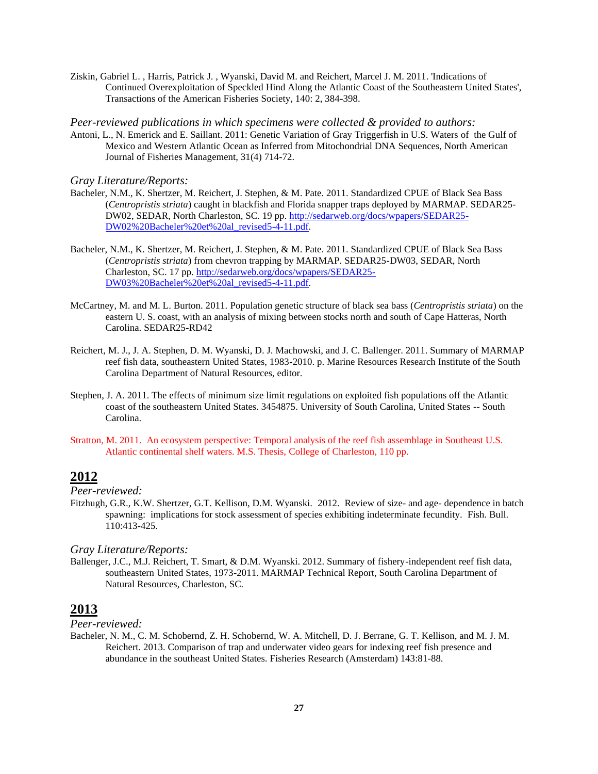Ziskin, Gabriel L. , Harris, Patrick J. , Wyanski, David M. and Reichert, Marcel J. M. 2011. 'Indications of Continued Overexploitation of Speckled Hind Along the Atlantic Coast of the Southeastern United States', Transactions of the American Fisheries Society, 140: 2, 384-398.

*Peer-reviewed publications in which specimens were collected & provided to authors:*

Antoni, L., N. Emerick and E. Saillant. 2011: Genetic Variation of Gray Triggerfish in U.S. Waters of the Gulf of Mexico and Western Atlantic Ocean as Inferred from Mitochondrial DNA Sequences, North American Journal of Fisheries Management, 31(4) 714-72.

*Gray Literature/Reports:*

- Bacheler, N.M., K. Shertzer, M. Reichert, J. Stephen, & M. Pate. 2011. Standardized CPUE of Black Sea Bass (*Centropristis striata*) caught in blackfish and Florida snapper traps deployed by MARMAP. SEDAR25- DW02, SEDAR, North Charleston, SC. 19 pp. [http://sedarweb.org/docs/wpapers/SEDAR25-](http://sedarweb.org/docs/wpapers/SEDAR25-DW02%20Bacheler%20et%20al_revised5-4-11.pdf) [DW02%20Bacheler%20et%20al\\_revised5-4-11.pdf.](http://sedarweb.org/docs/wpapers/SEDAR25-DW02%20Bacheler%20et%20al_revised5-4-11.pdf)
- Bacheler, N.M., K. Shertzer, M. Reichert, J. Stephen, & M. Pate. 2011. Standardized CPUE of Black Sea Bass (*Centropristis striata*) from chevron trapping by MARMAP. SEDAR25-DW03, SEDAR, North Charleston, SC. 17 pp. [http://sedarweb.org/docs/wpapers/SEDAR25-](http://sedarweb.org/docs/wpapers/SEDAR25-DW03%20Bacheler%20et%20al_revised5-4-11.pdf) [DW03%20Bacheler%20et%20al\\_revised5-4-11.pdf.](http://sedarweb.org/docs/wpapers/SEDAR25-DW03%20Bacheler%20et%20al_revised5-4-11.pdf)
- McCartney, M. and M. L. Burton. 2011. Population genetic structure of black sea bass (*Centropristis striata*) on the eastern U. S. coast, with an analysis of mixing between stocks north and south of Cape Hatteras, North Carolina. SEDAR25-RD42
- Reichert, M. J., J. A. Stephen, D. M. Wyanski, D. J. Machowski, and J. C. Ballenger. 2011. Summary of MARMAP reef fish data, southeastern United States, 1983-2010. p. Marine Resources Research Institute of the South Carolina Department of Natural Resources, editor.
- Stephen, J. A. 2011. The effects of minimum size limit regulations on exploited fish populations off the Atlantic coast of the southeastern United States. 3454875. University of South Carolina, United States -- South Carolina.
- Stratton, M. 2011. An ecosystem perspective: Temporal analysis of the reef fish assemblage in Southeast U.S. Atlantic continental shelf waters. M.S. Thesis, College of Charleston, 110 pp.

# **2012**

*Peer-reviewed:*

Fitzhugh, G.R., K.W. Shertzer, G.T. Kellison, D.M. Wyanski. 2012. Review of size- and age- dependence in batch spawning: implications for stock assessment of species exhibiting indeterminate fecundity. Fish. Bull. 110:413-425.

*Gray Literature/Reports:*

Ballenger, J.C., M.J. Reichert, T. Smart, & D.M. Wyanski. 2012. Summary of fishery-independent reef fish data, southeastern United States, 1973-2011. MARMAP Technical Report, South Carolina Department of Natural Resources, Charleston, SC.

# **2013**

*Peer-reviewed:*

Bacheler, N. M., C. M. Schobernd, Z. H. Schobernd, W. A. Mitchell, D. J. Berrane, G. T. Kellison, and M. J. M. Reichert. 2013. Comparison of trap and underwater video gears for indexing reef fish presence and abundance in the southeast United States. Fisheries Research (Amsterdam) 143:81-88.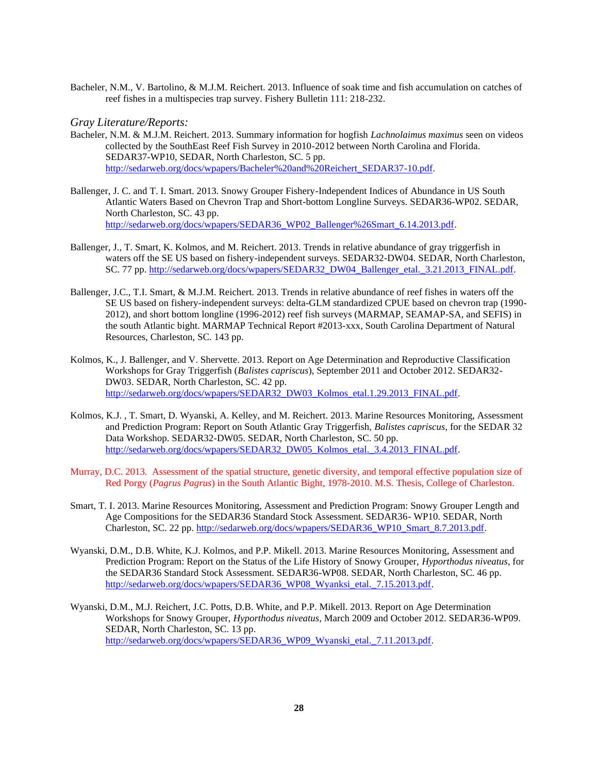Bacheler, N.M., V. Bartolino, & M.J.M. Reichert. 2013. Influence of soak time and fish accumulation on catches of reef fishes in a multispecies trap survey. Fishery Bulletin 111: 218-232.

- Bacheler, N.M. & M.J.M. Reichert. 2013. Summary information for hogfish *Lachnolaimus maximus* seen on videos collected by the SouthEast Reef Fish Survey in 2010-2012 between North Carolina and Florida. SEDAR37-WP10, SEDAR, North Charleston, SC. 5 pp. [http://sedarweb.org/docs/wpapers/Bacheler%20and%20Reichert\\_SEDAR37-10.pdf.](http://sedarweb.org/docs/wpapers/Bacheler%20and%20Reichert_SEDAR37-10.pdf)
- Ballenger, J. C. and T. I. Smart. 2013. Snowy Grouper Fishery-Independent Indices of Abundance in US South Atlantic Waters Based on Chevron Trap and Short-bottom Longline Surveys. SEDAR36-WP02. SEDAR, North Charleston, SC. 43 pp. [http://sedarweb.org/docs/wpapers/SEDAR36\\_WP02\\_Ballenger%26Smart\\_6.14.2013.pdf.](http://sedarweb.org/docs/wpapers/SEDAR36_WP02_Ballenger%26Smart_6.14.2013.pdf)
- Ballenger, J., T. Smart, K. Kolmos, and M. Reichert. 2013. Trends in relative abundance of gray triggerfish in waters off the SE US based on fishery-independent surveys. SEDAR32-DW04. SEDAR, North Charleston, SC. 77 pp[. http://sedarweb.org/docs/wpapers/SEDAR32\\_DW04\\_Ballenger\\_etal.\\_3.21.2013\\_FINAL.pdf.](http://sedarweb.org/docs/wpapers/SEDAR32_DW04_Ballenger_etal._3.21.2013_FINAL.pdf)
- Ballenger, J.C., T.I. Smart, & M.J.M. Reichert. 2013. Trends in relative abundance of reef fishes in waters off the SE US based on fishery-independent surveys: delta-GLM standardized CPUE based on chevron trap (1990- 2012), and short bottom longline (1996-2012) reef fish surveys (MARMAP, SEAMAP-SA, and SEFIS) in the south Atlantic bight. MARMAP Technical Report #2013-xxx, South Carolina Department of Natural Resources, Charleston, SC. 143 pp.
- Kolmos, K., J. Ballenger, and V. Shervette. 2013. Report on Age Determination and Reproductive Classification Workshops for Gray Triggerfish (*Balistes capriscus*), September 2011 and October 2012. SEDAR32- DW03. SEDAR, North Charleston, SC. 42 pp. [http://sedarweb.org/docs/wpapers/SEDAR32\\_DW03\\_Kolmos\\_etal.1.29.2013\\_FINAL.pdf.](http://sedarweb.org/docs/wpapers/SEDAR32_DW03_Kolmos_etal.1.29.2013_FINAL.pdf)
- Kolmos, K.J. , T. Smart, D. Wyanski, A. Kelley, and M. Reichert. 2013. Marine Resources Monitoring, Assessment and Prediction Program: Report on South Atlantic Gray Triggerfish, *Balistes capriscus*, for the SEDAR 32 Data Workshop. SEDAR32-DW05. SEDAR, North Charleston, SC. 50 pp. [http://sedarweb.org/docs/wpapers/SEDAR32\\_DW05\\_Kolmos\\_etal.\\_3.4.2013\\_FINAL.pdf.](http://sedarweb.org/docs/wpapers/SEDAR32_DW05_Kolmos_etal._3.4.2013_FINAL.pdf)
- Murray, D.C. 2013. Assessment of the spatial structure, genetic diversity, and temporal effective population size of Red Porgy (*Pagrus Pagrus*) in the South Atlantic Bight, 1978-2010. M.S. Thesis, College of Charleston.
- Smart, T. I. 2013. Marine Resources Monitoring, Assessment and Prediction Program: Snowy Grouper Length and Age Compositions for the SEDAR36 Standard Stock Assessment. SEDAR36- WP10. SEDAR, North Charleston, SC. 22 pp. [http://sedarweb.org/docs/wpapers/SEDAR36\\_WP10\\_Smart\\_8.7.2013.pdf.](http://sedarweb.org/docs/wpapers/SEDAR36_WP10_Smart_8.7.2013.pdf)
- Wyanski, D.M., D.B. White, K.J. Kolmos, and P.P. Mikell. 2013. Marine Resources Monitoring, Assessment and Prediction Program: Report on the Status of the Life History of Snowy Grouper, *Hyporthodus niveatus*, for the SEDAR36 Standard Stock Assessment. SEDAR36-WP08. SEDAR, North Charleston, SC. 46 pp. [http://sedarweb.org/docs/wpapers/SEDAR36\\_WP08\\_Wyanksi\\_etal.\\_7.15.2013.pdf.](http://sedarweb.org/docs/wpapers/SEDAR36_WP08_Wyanksi_etal._7.15.2013.pdf)
- Wyanski, D.M., M.J. Reichert, J.C. Potts, D.B. White, and P.P. Mikell. 2013. Report on Age Determination Workshops for Snowy Grouper, *Hyporthodus niveatus*, March 2009 and October 2012. SEDAR36-WP09. SEDAR, North Charleston, SC. 13 pp. [http://sedarweb.org/docs/wpapers/SEDAR36\\_WP09\\_Wyanski\\_etal.\\_7.11.2013.pdf.](http://sedarweb.org/docs/wpapers/SEDAR36_WP09_Wyanski_etal._7.11.2013.pdf)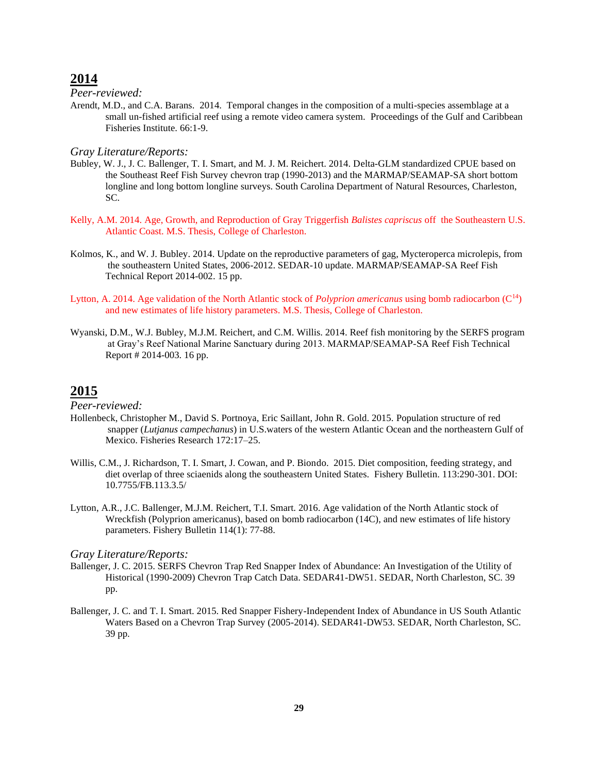### *Peer-reviewed:*

Arendt, M.D., and C.A. Barans. 2014. Temporal changes in the composition of a multi-species assemblage at a small un-fished artificial reef using a remote video camera system. Proceedings of the Gulf and Caribbean Fisheries Institute. 66:1-9.

#### *Gray Literature/Reports:*

- Bubley, W. J., J. C. Ballenger, T. I. Smart, and M. J. M. Reichert. 2014. Delta-GLM standardized CPUE based on the Southeast Reef Fish Survey chevron trap (1990-2013) and the MARMAP/SEAMAP-SA short bottom longline and long bottom longline surveys. South Carolina Department of Natural Resources, Charleston, SC.
- Kelly, A.M. 2014. Age, Growth, and Reproduction of Gray Triggerfish *Balistes capriscus* off the Southeastern U.S. Atlantic Coast. M.S. Thesis, College of Charleston.
- Kolmos, K., and W. J. Bubley. 2014. Update on the reproductive parameters of gag, Mycteroperca microlepis, from the southeastern United States, 2006-2012. SEDAR-10 update. MARMAP/SEAMAP-SA Reef Fish Technical Report 2014-002. 15 pp.
- Lytton, A. 2014. Age validation of the North Atlantic stock of *Polyprion americanus* using bomb radiocarbon (C<sup>14</sup>) and new estimates of life history parameters. M.S. Thesis, College of Charleston.
- Wyanski, D.M., W.J. Bubley, M.J.M. Reichert, and C.M. Willis. 2014. Reef fish monitoring by the SERFS program at Gray's Reef National Marine Sanctuary during 2013. MARMAP/SEAMAP-SA Reef Fish Technical Report # 2014-003. 16 pp.

# **2015**

*Peer-reviewed:*

- Hollenbeck, Christopher M., David S. Portnoya, Eric Saillant, John R. Gold. 2015. Population structure of red snapper (*Lutjanus campechanus*) in U.S.waters of the western Atlantic Ocean and the northeastern Gulf of Mexico. Fisheries Research 172:17–25.
- Willis, C.M., J. Richardson, T. I. Smart, J. Cowan, and P. Biondo. 2015. Diet composition, feeding strategy, and diet overlap of three sciaenids along the southeastern United States. Fishery Bulletin. 113:290-301. DOI: 10.7755/FB.113.3.5/
- Lytton, A.R., J.C. Ballenger, M.J.M. Reichert, T.I. Smart. 2016. Age validation of the North Atlantic stock of Wreckfish (Polyprion americanus), based on bomb radiocarbon (14C), and new estimates of life history parameters. Fishery Bulletin 114(1): 77-88.

- Ballenger, J. C. 2015. SERFS Chevron Trap Red Snapper Index of Abundance: An Investigation of the Utility of Historical (1990-2009) Chevron Trap Catch Data. SEDAR41-DW51. SEDAR, North Charleston, SC. 39 pp.
- Ballenger, J. C. and T. I. Smart. 2015. Red Snapper Fishery-Independent Index of Abundance in US South Atlantic Waters Based on a Chevron Trap Survey (2005-2014). SEDAR41-DW53. SEDAR, North Charleston, SC. 39 pp.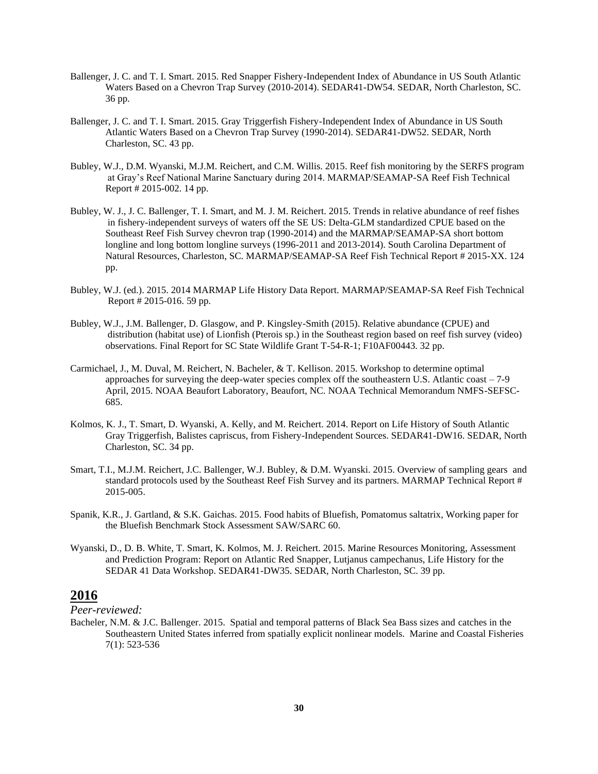- Ballenger, J. C. and T. I. Smart. 2015. Red Snapper Fishery-Independent Index of Abundance in US South Atlantic Waters Based on a Chevron Trap Survey (2010-2014). SEDAR41-DW54. SEDAR, North Charleston, SC. 36 pp.
- Ballenger, J. C. and T. I. Smart. 2015. Gray Triggerfish Fishery-Independent Index of Abundance in US South Atlantic Waters Based on a Chevron Trap Survey (1990-2014). SEDAR41-DW52. SEDAR, North Charleston, SC. 43 pp.
- Bubley, W.J., D.M. Wyanski, M.J.M. Reichert, and C.M. Willis. 2015. Reef fish monitoring by the SERFS program at Gray's Reef National Marine Sanctuary during 2014. MARMAP/SEAMAP-SA Reef Fish Technical Report # 2015-002. 14 pp.
- Bubley, W. J., J. C. Ballenger, T. I. Smart, and M. J. M. Reichert. 2015. Trends in relative abundance of reef fishes in fishery-independent surveys of waters off the SE US: Delta-GLM standardized CPUE based on the Southeast Reef Fish Survey chevron trap (1990-2014) and the MARMAP/SEAMAP-SA short bottom longline and long bottom longline surveys (1996-2011 and 2013-2014). South Carolina Department of Natural Resources, Charleston, SC. MARMAP/SEAMAP-SA Reef Fish Technical Report # 2015-XX. 124 pp.
- Bubley, W.J. (ed.). 2015. 2014 MARMAP Life History Data Report. MARMAP/SEAMAP-SA Reef Fish Technical Report # 2015-016. 59 pp.
- Bubley, W.J., J.M. Ballenger, D. Glasgow, and P. Kingsley-Smith (2015). Relative abundance (CPUE) and distribution (habitat use) of Lionfish (Pterois sp.) in the Southeast region based on reef fish survey (video) observations. Final Report for SC State Wildlife Grant T-54-R-1; F10AF00443. 32 pp.
- Carmichael, J., M. Duval, M. Reichert, N. Bacheler, & T. Kellison. 2015. Workshop to determine optimal approaches for surveying the deep-water species complex off the southeastern U.S. Atlantic coast – 7-9 April, 2015. NOAA Beaufort Laboratory, Beaufort, NC. NOAA Technical Memorandum NMFS-SEFSC-685.
- Kolmos, K. J., T. Smart, D. Wyanski, A. Kelly, and M. Reichert. 2014. Report on Life History of South Atlantic Gray Triggerfish, Balistes capriscus, from Fishery-Independent Sources. SEDAR41-DW16. SEDAR, North Charleston, SC. 34 pp.
- Smart, T.I., M.J.M. Reichert, J.C. Ballenger, W.J. Bubley, & D.M. Wyanski. 2015. Overview of sampling gears and standard protocols used by the Southeast Reef Fish Survey and its partners. MARMAP Technical Report # 2015-005.
- Spanik, K.R., J. Gartland, & S.K. Gaichas. 2015. Food habits of Bluefish, Pomatomus saltatrix, Working paper for the Bluefish Benchmark Stock Assessment SAW/SARC 60.
- Wyanski, D., D. B. White, T. Smart, K. Kolmos, M. J. Reichert. 2015. Marine Resources Monitoring, Assessment and Prediction Program: Report on Atlantic Red Snapper, Lutjanus campechanus, Life History for the SEDAR 41 Data Workshop. SEDAR41-DW35. SEDAR, North Charleston, SC. 39 pp.

*Peer-reviewed:*

Bacheler, N.M. & J.C. Ballenger. 2015. Spatial and temporal patterns of Black Sea Bass sizes and catches in the Southeastern United States inferred from spatially explicit nonlinear models. Marine and Coastal Fisheries 7(1): 523-536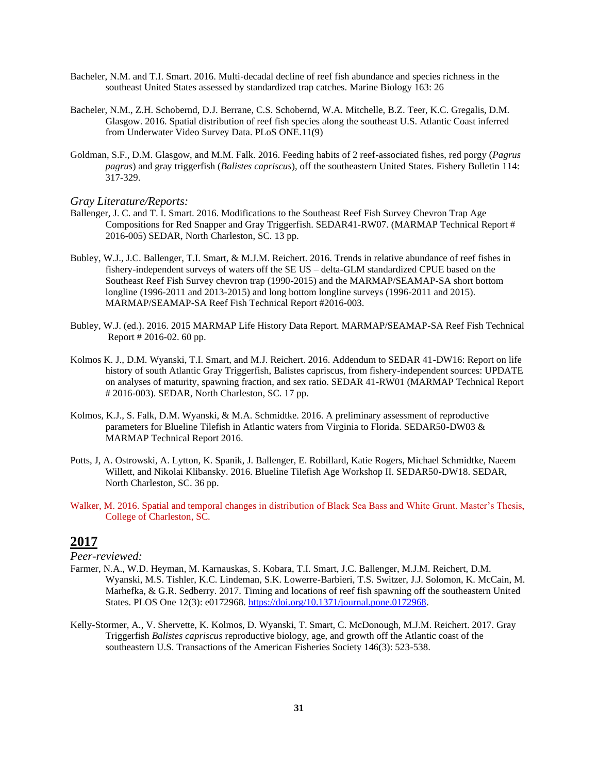- Bacheler, N.M. and T.I. Smart. 2016. Multi-decadal decline of reef fish abundance and species richness in the southeast United States assessed by standardized trap catches. Marine Biology 163: 26
- Bacheler, N.M., Z.H. Schobernd, D.J. Berrane, C.S. Schobernd, W.A. Mitchelle, B.Z. Teer, K.C. Gregalis, D.M. Glasgow. 2016. Spatial distribution of reef fish species along the southeast U.S. Atlantic Coast inferred from Underwater Video Survey Data. PLoS ONE.11(9)
- Goldman, S.F., D.M. Glasgow, and M.M. Falk. 2016. Feeding habits of 2 reef-associated fishes, red porgy (*Pagrus pagrus*) and gray triggerfish (*Balistes capriscus*), off the southeastern United States. Fishery Bulletin 114:  $317 - 329$ .

- Ballenger, J. C. and T. I. Smart. 2016. Modifications to the Southeast Reef Fish Survey Chevron Trap Age Compositions for Red Snapper and Gray Triggerfish. SEDAR41-RW07. (MARMAP Technical Report # 2016-005) SEDAR, North Charleston, SC. 13 pp.
- Bubley, W.J., J.C. Ballenger, T.I. Smart, & M.J.M. Reichert. 2016. Trends in relative abundance of reef fishes in fishery-independent surveys of waters off the SE US – delta-GLM standardized CPUE based on the Southeast Reef Fish Survey chevron trap (1990-2015) and the MARMAP/SEAMAP-SA short bottom longline (1996-2011 and 2013-2015) and long bottom longline surveys (1996-2011 and 2015). MARMAP/SEAMAP-SA Reef Fish Technical Report #2016-003.
- Bubley, W.J. (ed.). 2016. 2015 MARMAP Life History Data Report. MARMAP/SEAMAP-SA Reef Fish Technical Report # 2016-02. 60 pp.
- Kolmos K. J., D.M. Wyanski, T.I. Smart, and M.J. Reichert. 2016. Addendum to SEDAR 41-DW16: Report on life history of south Atlantic Gray Triggerfish, Balistes capriscus, from fishery-independent sources: UPDATE on analyses of maturity, spawning fraction, and sex ratio. SEDAR 41-RW01 (MARMAP Technical Report # 2016-003). SEDAR, North Charleston, SC. 17 pp.
- Kolmos, K.J., S. Falk, D.M. Wyanski, & M.A. Schmidtke. 2016. A preliminary assessment of reproductive parameters for Blueline Tilefish in Atlantic waters from Virginia to Florida. SEDAR50-DW03 & MARMAP Technical Report 2016.
- Potts, J, A. Ostrowski, A. Lytton, K. Spanik, J. Ballenger, E. Robillard, Katie Rogers, Michael Schmidtke, Naeem Willett, and Nikolai Klibansky. 2016. Blueline Tilefish Age Workshop II. SEDAR50-DW18. SEDAR, North Charleston, SC. 36 pp.
- Walker, M. 2016. Spatial and temporal changes in distribution of Black Sea Bass and White Grunt. Master's Thesis, College of Charleston, SC.

# **2017**

- Farmer, N.A., W.D. Heyman, M. Karnauskas, S. Kobara, T.I. Smart, J.C. Ballenger, M.J.M. Reichert, D.M. Wyanski, M.S. Tishler, K.C. Lindeman, S.K. Lowerre-Barbieri, T.S. Switzer, J.J. Solomon, K. McCain, M. Marhefka, & G.R. Sedberry. 2017. Timing and locations of reef fish spawning off the southeastern United States. PLOS One 12(3): e0172968. [https://doi.org/10.1371/journal.pone.0172968.](https://doi.org/10.1371/journal.pone.0172968)
- Kelly-Stormer, A., V. Shervette, K. Kolmos, D. Wyanski, T. Smart, C. McDonough, M.J.M. Reichert. 2017. Gray Triggerfish *Balistes capriscus* reproductive biology, age, and growth off the Atlantic coast of the southeastern U.S. Transactions of the American Fisheries Society 146(3): 523-538.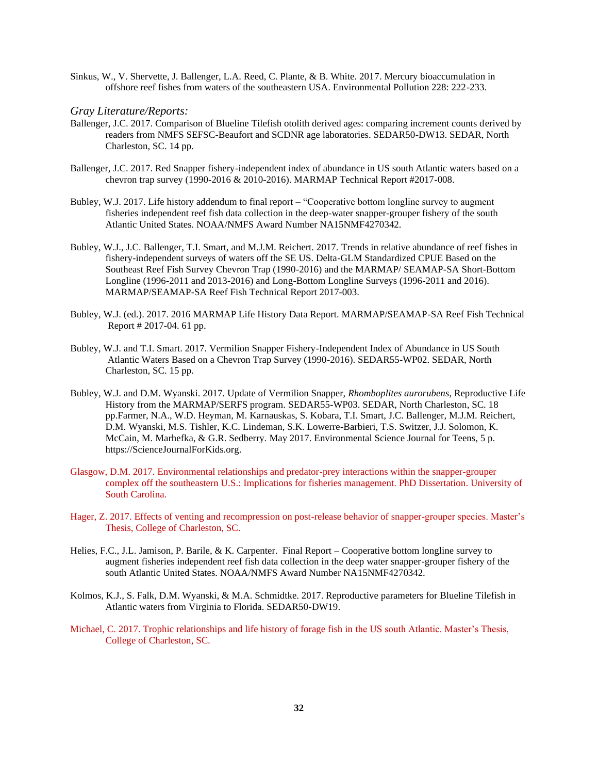Sinkus, W., V. Shervette, J. Ballenger, L.A. Reed, C. Plante, & B. White. 2017. Mercury bioaccumulation in offshore reef fishes from waters of the southeastern USA. Environmental Pollution 228: 222-233.

- Ballenger, J.C. 2017. Comparison of Blueline Tilefish otolith derived ages: comparing increment counts derived by readers from NMFS SEFSC-Beaufort and SCDNR age laboratories. SEDAR50-DW13. SEDAR, North Charleston, SC. 14 pp.
- Ballenger, J.C. 2017. Red Snapper fishery-independent index of abundance in US south Atlantic waters based on a chevron trap survey (1990-2016 & 2010-2016). MARMAP Technical Report #2017-008.
- Bubley, W.J. 2017. Life history addendum to final report "Cooperative bottom longline survey to augment fisheries independent reef fish data collection in the deep-water snapper-grouper fishery of the south Atlantic United States. NOAA/NMFS Award Number NA15NMF4270342.
- Bubley, W.J., J.C. Ballenger, T.I. Smart, and M.J.M. Reichert. 2017. Trends in relative abundance of reef fishes in fishery-independent surveys of waters off the SE US. Delta-GLM Standardized CPUE Based on the Southeast Reef Fish Survey Chevron Trap (1990-2016) and the MARMAP/ SEAMAP-SA Short-Bottom Longline (1996-2011 and 2013-2016) and Long-Bottom Longline Surveys (1996-2011 and 2016). MARMAP/SEAMAP-SA Reef Fish Technical Report 2017-003.
- Bubley, W.J. (ed.). 2017. 2016 MARMAP Life History Data Report. MARMAP/SEAMAP-SA Reef Fish Technical Report # 2017-04. 61 pp.
- Bubley, W.J. and T.I. Smart. 2017. Vermilion Snapper Fishery-Independent Index of Abundance in US South Atlantic Waters Based on a Chevron Trap Survey (1990-2016). SEDAR55-WP02. SEDAR, North Charleston, SC. 15 pp.
- Bubley, W.J. and D.M. Wyanski. 2017. Update of Vermilion Snapper, *Rhomboplites aurorubens*, Reproductive Life History from the MARMAP/SERFS program. SEDAR55-WP03. SEDAR, North Charleston, SC. 18 pp.Farmer, N.A., W.D. Heyman, M. Karnauskas, S. Kobara, T.I. Smart, J.C. Ballenger, M.J.M. Reichert, D.M. Wyanski, M.S. Tishler, K.C. Lindeman, S.K. Lowerre-Barbieri, T.S. Switzer, J.J. Solomon, K. McCain, M. Marhefka, & G.R. Sedberry. May 2017. Environmental Science Journal for Teens, 5 p. https://ScienceJournalForKids.org.
- Glasgow, D.M. 2017. Environmental relationships and predator-prey interactions within the snapper-grouper complex off the southeastern U.S.: Implications for fisheries management. PhD Dissertation. University of South Carolina.
- Hager, Z. 2017. Effects of venting and recompression on post-release behavior of snapper-grouper species. Master's Thesis, College of Charleston, SC.
- Helies, F.C., J.L. Jamison, P. Barile, & K. Carpenter. Final Report Cooperative bottom longline survey to augment fisheries independent reef fish data collection in the deep water snapper-grouper fishery of the south Atlantic United States. NOAA/NMFS Award Number NA15NMF4270342.
- Kolmos, K.J., S. Falk, D.M. Wyanski, & M.A. Schmidtke. 2017. Reproductive parameters for Blueline Tilefish in Atlantic waters from Virginia to Florida. SEDAR50-DW19.
- Michael, C. 2017. Trophic relationships and life history of forage fish in the US south Atlantic. Master's Thesis, College of Charleston, SC.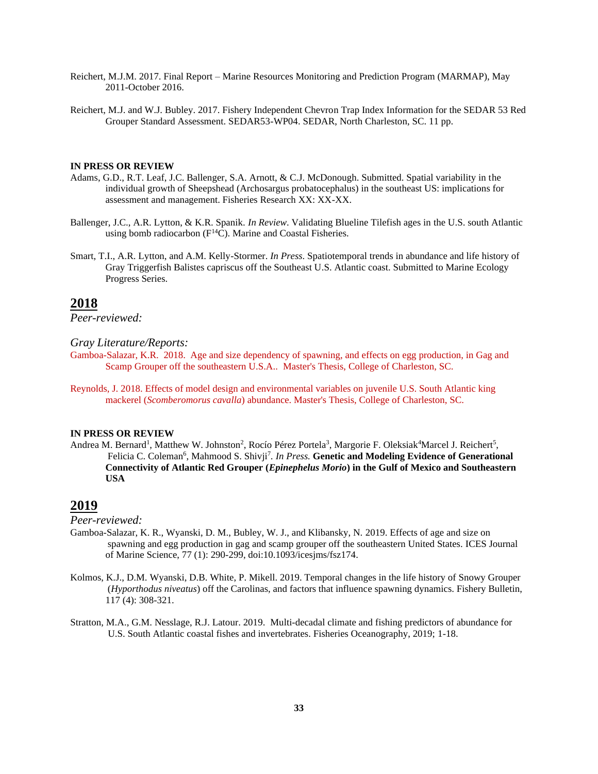- Reichert, M.J.M. 2017. Final Report Marine Resources Monitoring and Prediction Program (MARMAP), May 2011-October 2016.
- Reichert, M.J. and W.J. Bubley. 2017. Fishery Independent Chevron Trap Index Information for the SEDAR 53 Red Grouper Standard Assessment. SEDAR53-WP04. SEDAR, North Charleston, SC. 11 pp.

#### **IN PRESS OR REVIEW**

- Adams, G.D., R.T. Leaf, J.C. Ballenger, S.A. Arnott, & C.J. McDonough. Submitted. Spatial variability in the individual growth of Sheepshead (Archosargus probatocephalus) in the southeast US: implications for assessment and management. Fisheries Research XX: XX-XX.
- Ballenger, J.C., A.R. Lytton, & K.R. Spanik. *In Review*. Validating Blueline Tilefish ages in the U.S. south Atlantic using bomb radiocarbon  $(F^{14}C)$ . Marine and Coastal Fisheries.
- Smart, T.I., A.R. Lytton, and A.M. Kelly-Stormer. *In Press*. Spatiotemporal trends in abundance and life history of Gray Triggerfish Balistes capriscus off the Southeast U.S. Atlantic coast. Submitted to Marine Ecology Progress Series.

### **2018**

*Peer-reviewed:*

#### *Gray Literature/Reports:*

Gamboa-Salazar, K.R. 2018. Age and size dependency of spawning, and effects on egg production, in Gag and Scamp Grouper off the southeastern U.S.A.. Master's Thesis, College of Charleston, SC.

Reynolds, J. 2018. Effects of model design and environmental variables on juvenile U.S. South Atlantic king mackerel (*Scomberomorus cavalla*) abundance. Master's Thesis, College of Charleston, SC.

#### **IN PRESS OR REVIEW**

Andrea M. Bernard<sup>1</sup>, Matthew W. Johnston<sup>2</sup>, Rocío Pérez Portela<sup>3</sup>, Margorie F. Oleksiak<sup>4</sup>Marcel J. Reichert<sup>5</sup>, Felicia C. Coleman<sup>6</sup>, Mahmood S. Shivji<sup>7</sup>. In Press. Genetic and Modeling Evidence of Generational **Connectivity of Atlantic Red Grouper (***Epinephelus Morio***) in the Gulf of Mexico and Southeastern USA**

# **2019**

- Gamboa-Salazar, K. R., Wyanski, D. M., Bubley, W. J., and Klibansky, N. 2019. Effects of age and size on spawning and egg production in gag and scamp grouper off the southeastern United States. ICES Journal of Marine Science, 77 (1): 290-299, doi:10.1093/icesjms/fsz174.
- Kolmos, K.J., D.M. Wyanski, D.B. White, P. Mikell. 2019. Temporal changes in the life history of Snowy Grouper (*Hyporthodus niveatus*) off the Carolinas, and factors that influence spawning dynamics. Fishery Bulletin, 117 (4): 308-321.
- Stratton, M.A., G.M. Nesslage, R.J. Latour. 2019. Multi-decadal climate and fishing predictors of abundance for U.S. South Atlantic coastal fishes and invertebrates. Fisheries Oceanography, 2019; 1-18.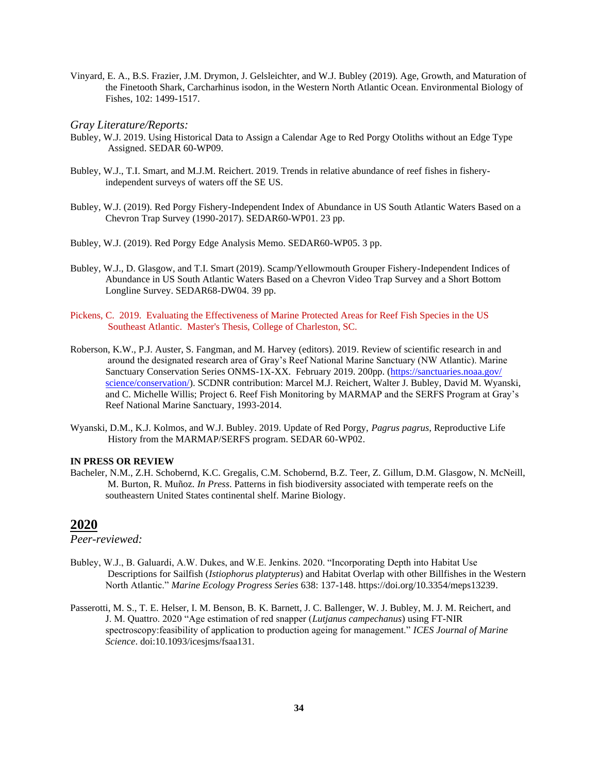Vinyard, E. A., B.S. Frazier, J.M. Drymon, J. Gelsleichter, and W.J. Bubley (2019). Age, Growth, and Maturation of the Finetooth Shark, Carcharhinus isodon, in the Western North Atlantic Ocean. Environmental Biology of Fishes, 102: 1499-1517.

#### *Gray Literature/Reports:*

- Bubley, W.J. 2019. Using Historical Data to Assign a Calendar Age to Red Porgy Otoliths without an Edge Type Assigned. SEDAR 60-WP09.
- Bubley, W.J., T.I. Smart, and M.J.M. Reichert. 2019. Trends in relative abundance of reef fishes in fisheryindependent surveys of waters off the SE US.
- Bubley, W.J. (2019). Red Porgy Fishery-Independent Index of Abundance in US South Atlantic Waters Based on a Chevron Trap Survey (1990-2017). SEDAR60-WP01. 23 pp.
- Bubley, W.J. (2019). Red Porgy Edge Analysis Memo. SEDAR60-WP05. 3 pp.
- Bubley, W.J., D. Glasgow, and T.I. Smart (2019). Scamp/Yellowmouth Grouper Fishery-Independent Indices of Abundance in US South Atlantic Waters Based on a Chevron Video Trap Survey and a Short Bottom Longline Survey. SEDAR68-DW04. 39 pp.
- Pickens, C. 2019. Evaluating the Effectiveness of Marine Protected Areas for Reef Fish Species in the US Southeast Atlantic. Master's Thesis, College of Charleston, SC.
- Roberson, K.W., P.J. Auster, S. Fangman, and M. Harvey (editors). 2019. Review of scientific research in and around the designated research area of Gray's Reef National Marine Sanctuary (NW Atlantic). Marine Sanctuary Conservation Series ONMS-1X-XX. February 2019. 200pp. (https://sanctuaries.noaa.gov/ [science/conservation/\)](https://sanctuaries.noaa.gov/%20science/conservation/). SCDNR contribution: Marcel M.J. Reichert, Walter J. Bubley, David M. Wyanski, and C. Michelle Willis; Project 6. Reef Fish Monitoring by MARMAP and the SERFS Program at Gray's Reef National Marine Sanctuary, 1993-2014.
- Wyanski, D.M., K.J. Kolmos, and W.J. Bubley. 2019. Update of Red Porgy, *Pagrus pagrus,* Reproductive Life History from the MARMAP/SERFS program. SEDAR 60-WP02.

#### **IN PRESS OR REVIEW**

Bacheler, N.M., Z.H. Schobernd, K.C. Gregalis, C.M. Schobernd, B.Z. Teer, Z. Gillum, D.M. Glasgow, N. McNeill, M. Burton, R. Muñoz. *In Press*. Patterns in fish biodiversity associated with temperate reefs on the southeastern United States continental shelf. Marine Biology.

### **2020**

- Bubley, W.J., B. Galuardi, A.W. Dukes, and W.E. Jenkins. 2020. "Incorporating Depth into Habitat Use Descriptions for Sailfish (*Istiophorus platypterus*) and Habitat Overlap with other Billfishes in the Western North Atlantic." *Marine Ecology Progress Series* 638: 137-148. [https://doi.org/10.3354/meps13239.](https://doi.org/10.3354/meps13239)
- Passerotti, M. S., T. E. Helser, I. M. Benson, B. K. Barnett, J. C. Ballenger, W. J. Bubley, M. J. M. Reichert, and J. M. Quattro. 2020 "Age estimation of red snapper (*Lutjanus campechanus*) using FT-NIR spectroscopy:feasibility of application to production ageing for management." *ICES Journal of Marine Science*. doi:10.1093/icesjms/fsaa131.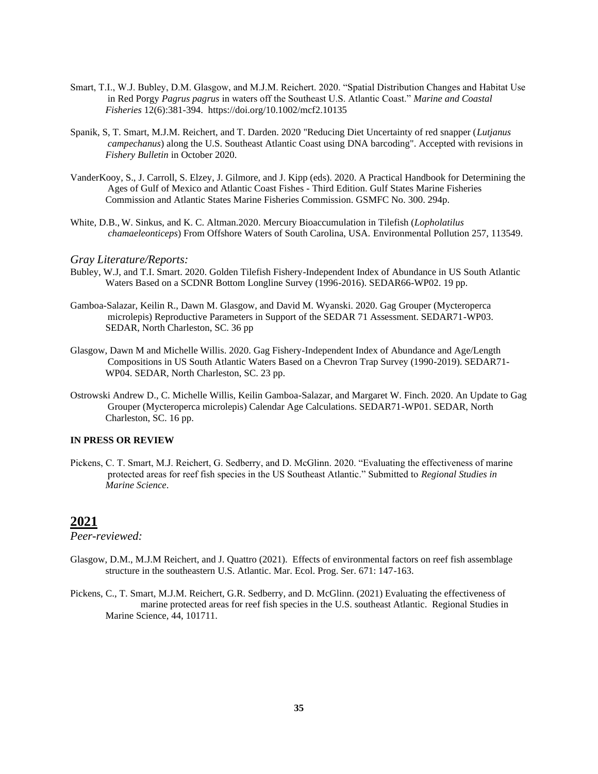- Smart, T.I., W.J. Bubley, D.M. Glasgow, and M.J.M. Reichert. 2020. "Spatial Distribution Changes and Habitat Use in Red Porgy *Pagrus pagrus* in waters off the Southeast U.S. Atlantic Coast." *Marine and Coastal Fisheries* 12(6):381-394. https://doi.org/10.1002/mcf2.10135
- Spanik, S, T. Smart, M.J.M. Reichert, and T. Darden. 2020 "Reducing Diet Uncertainty of red snapper (*Lutjanus campechanus*) along the U.S. Southeast Atlantic Coast using DNA barcoding". Accepted with revisions in *Fishery Bulletin* in October 2020.
- VanderKooy, S., J. Carroll, S. Elzey, J. Gilmore, and J. Kipp (eds). 2020. A Practical Handbook for Determining the Ages of Gulf of Mexico and Atlantic Coast Fishes - Third Edition. Gulf States Marine Fisheries Commission and Atlantic States Marine Fisheries Commission. GSMFC No. 300. 294p.
- White, D.B., W. Sinkus, and K. C. Altman.2020. Mercury Bioaccumulation in Tilefish (*Lopholatilus chamaeleonticeps*) From Offshore Waters of South Carolina, USA. Environmental Pollution 257, 113549.

- Bubley, W.J, and T.I. Smart. 2020. Golden Tilefish Fishery-Independent Index of Abundance in US South Atlantic Waters Based on a SCDNR Bottom Longline Survey (1996-2016). SEDAR66-WP02. 19 pp.
- Gamboa-Salazar, Keilin R., Dawn M. Glasgow, and David M. Wyanski. 2020. Gag Grouper (Mycteroperca microlepis) Reproductive Parameters in Support of the SEDAR 71 Assessment. SEDAR71-WP03. SEDAR, North Charleston, SC. 36 pp
- Glasgow, Dawn M and Michelle Willis. 2020. Gag Fishery-Independent Index of Abundance and Age/Length Compositions in US South Atlantic Waters Based on a Chevron Trap Survey (1990-2019). SEDAR71- WP04. SEDAR, North Charleston, SC. 23 pp.
- Ostrowski Andrew D., C. Michelle Willis, Keilin Gamboa-Salazar, and Margaret W. Finch. 2020. An Update to Gag Grouper (Mycteroperca microlepis) Calendar Age Calculations. SEDAR71-WP01. SEDAR, North Charleston, SC. 16 pp.

#### **IN PRESS OR REVIEW**

Pickens, C. T. Smart, M.J. Reichert, G. Sedberry, and D. McGlinn. 2020. "Evaluating the effectiveness of marine protected areas for reef fish species in the US Southeast Atlantic." Submitted to *Regional Studies in Marine Science*.

# **2021**

- Glasgow, D.M., M.J.M Reichert, and J. Quattro (2021). Effects of environmental factors on reef fish assemblage structure in the southeastern U.S. Atlantic. Mar. Ecol. Prog. Ser. 671: 147-163.
- Pickens, C., T. Smart, M.J.M. Reichert, G.R. Sedberry, and D. McGlinn. (2021) Evaluating the effectiveness of marine protected areas for reef fish species in the U.S. southeast Atlantic. Regional Studies in Marine Science, 44, 101711.